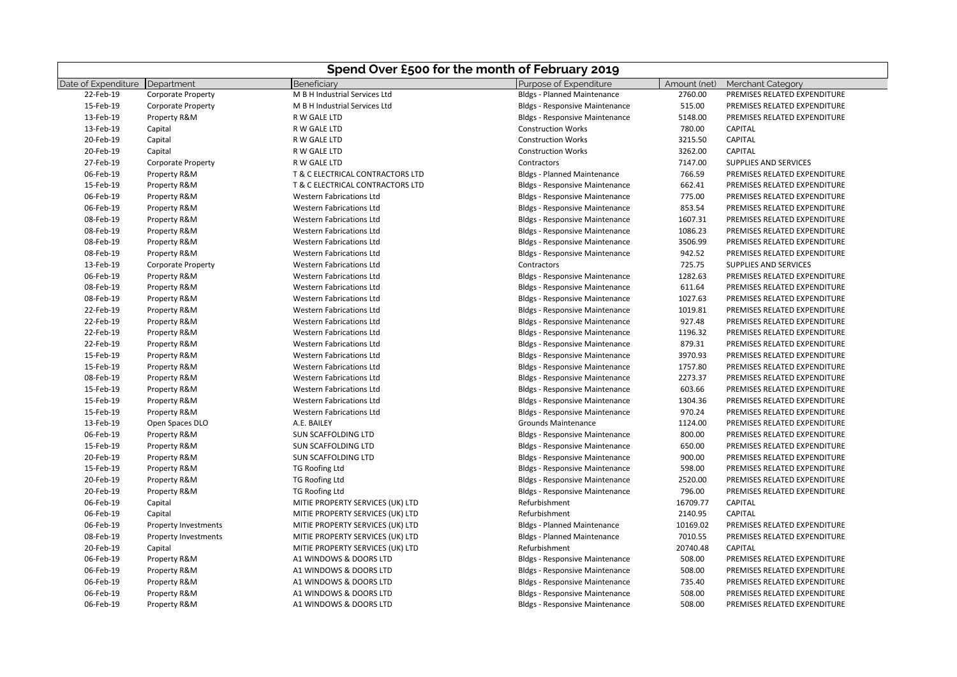| Spend Over £500 for the month of February 2019 |                             |                                  |                                       |              |                              |
|------------------------------------------------|-----------------------------|----------------------------------|---------------------------------------|--------------|------------------------------|
| Date of Expenditure                            | Department                  | Beneficiarv                      | Purpose of Expenditure                | Amount (net) | <b>Merchant Category</b>     |
| 22-Feb-19                                      | <b>Corporate Property</b>   | M B H Industrial Services Ltd    | <b>Bldgs - Planned Maintenance</b>    | 2760.00      | PREMISES RELATED EXPENDITURE |
| 15-Feb-19                                      | <b>Corporate Property</b>   | M B H Industrial Services Ltd    | <b>Bldgs - Responsive Maintenance</b> | 515.00       | PREMISES RELATED EXPENDITURE |
| 13-Feb-19                                      | Property R&M                | R W GALE LTD                     | <b>Bldgs - Responsive Maintenance</b> | 5148.00      | PREMISES RELATED EXPENDITURE |
| 13-Feb-19                                      | Capital                     | R W GALE LTD                     | <b>Construction Works</b>             | 780.00       | <b>CAPITAL</b>               |
| 20-Feb-19                                      | Capital                     | R W GALE LTD                     | <b>Construction Works</b>             | 3215.50      | <b>CAPITAL</b>               |
| 20-Feb-19                                      | Capital                     | R W GALE LTD                     | <b>Construction Works</b>             | 3262.00      | <b>CAPITAL</b>               |
| 27-Feb-19                                      | <b>Corporate Property</b>   | R W GALE LTD                     | Contractors                           | 7147.00      | SUPPLIES AND SERVICES        |
| 06-Feb-19                                      | Property R&M                | T & C ELECTRICAL CONTRACTORS LTD | <b>Bldgs - Planned Maintenance</b>    | 766.59       | PREMISES RELATED EXPENDITURE |
| 15-Feb-19                                      | Property R&M                | T & C ELECTRICAL CONTRACTORS LTD | <b>Bldgs - Responsive Maintenance</b> | 662.41       | PREMISES RELATED EXPENDITURE |
| 06-Feb-19                                      | Property R&M                | <b>Western Fabrications Ltd</b>  | <b>Bldgs - Responsive Maintenance</b> | 775.00       | PREMISES RELATED EXPENDITURE |
| 06-Feb-19                                      | Property R&M                | <b>Western Fabrications Ltd</b>  | <b>Bldgs - Responsive Maintenance</b> | 853.54       | PREMISES RELATED EXPENDITURE |
| 08-Feb-19                                      | Property R&M                | <b>Western Fabrications Ltd</b>  | <b>Bldgs - Responsive Maintenance</b> | 1607.31      | PREMISES RELATED EXPENDITURE |
| 08-Feb-19                                      | Property R&M                | <b>Western Fabrications Ltd</b>  | <b>Bldgs - Responsive Maintenance</b> | 1086.23      | PREMISES RELATED EXPENDITURE |
| 08-Feb-19                                      | Property R&M                | <b>Western Fabrications Ltd</b>  | <b>Bldgs - Responsive Maintenance</b> | 3506.99      | PREMISES RELATED EXPENDITURE |
| 08-Feb-19                                      | Property R&M                | <b>Western Fabrications Ltd</b>  | <b>Bldgs - Responsive Maintenance</b> | 942.52       | PREMISES RELATED EXPENDITURE |
| 13-Feb-19                                      | <b>Corporate Property</b>   | <b>Western Fabrications Ltd</b>  | Contractors                           | 725.75       | SUPPLIES AND SERVICES        |
| 06-Feb-19                                      | Property R&M                | <b>Western Fabrications Ltd</b>  | <b>Bldgs - Responsive Maintenance</b> | 1282.63      | PREMISES RELATED EXPENDITURE |
| 08-Feb-19                                      | Property R&M                | <b>Western Fabrications Ltd</b>  | <b>Bldgs - Responsive Maintenance</b> | 611.64       | PREMISES RELATED EXPENDITURE |
| 08-Feb-19                                      | Property R&M                | <b>Western Fabrications Ltd</b>  | <b>Bldgs - Responsive Maintenance</b> | 1027.63      | PREMISES RELATED EXPENDITURE |
| 22-Feb-19                                      | Property R&M                | <b>Western Fabrications Ltd</b>  | <b>Bldgs - Responsive Maintenance</b> | 1019.81      | PREMISES RELATED EXPENDITURE |
| 22-Feb-19                                      | Property R&M                | <b>Western Fabrications Ltd</b>  | <b>Bldgs - Responsive Maintenance</b> | 927.48       | PREMISES RELATED EXPENDITURE |
| 22-Feb-19                                      | Property R&M                | <b>Western Fabrications Ltd</b>  | <b>Bldgs - Responsive Maintenance</b> | 1196.32      | PREMISES RELATED EXPENDITURE |
| 22-Feb-19                                      | Property R&M                | <b>Western Fabrications Ltd</b>  | <b>Bldgs - Responsive Maintenance</b> | 879.31       | PREMISES RELATED EXPENDITURE |
| 15-Feb-19                                      | Property R&M                | <b>Western Fabrications Ltd</b>  | <b>Bldgs - Responsive Maintenance</b> | 3970.93      | PREMISES RELATED EXPENDITURE |
| 15-Feb-19                                      | Property R&M                | <b>Western Fabrications Ltd</b>  | <b>Bldgs - Responsive Maintenance</b> | 1757.80      | PREMISES RELATED EXPENDITURE |
| 08-Feb-19                                      | Property R&M                | <b>Western Fabrications Ltd</b>  | <b>Bldgs - Responsive Maintenance</b> | 2273.37      | PREMISES RELATED EXPENDITURE |
| 15-Feb-19                                      | Property R&M                | <b>Western Fabrications Ltd</b>  | <b>Bldgs - Responsive Maintenance</b> | 603.66       | PREMISES RELATED EXPENDITURE |
| 15-Feb-19                                      | Property R&M                | <b>Western Fabrications Ltd</b>  | <b>Bldgs - Responsive Maintenance</b> | 1304.36      | PREMISES RELATED EXPENDITURE |
| 15-Feb-19                                      | Property R&M                | <b>Western Fabrications Ltd</b>  | <b>Bldgs - Responsive Maintenance</b> | 970.24       | PREMISES RELATED EXPENDITURE |
| 13-Feb-19                                      | Open Spaces DLO             | A.E. BAILEY                      | <b>Grounds Maintenance</b>            | 1124.00      | PREMISES RELATED EXPENDITURE |
| 06-Feb-19                                      | Property R&M                | SUN SCAFFOLDING LTD              | <b>Bldgs - Responsive Maintenance</b> | 800.00       | PREMISES RELATED EXPENDITURE |
| 15-Feb-19                                      | Property R&M                | SUN SCAFFOLDING LTD              | <b>Bldgs - Responsive Maintenance</b> | 650.00       | PREMISES RELATED EXPENDITURE |
| 20-Feb-19                                      | Property R&M                | SUN SCAFFOLDING LTD              | <b>Bldgs - Responsive Maintenance</b> | 900.00       | PREMISES RELATED EXPENDITURE |
| 15-Feb-19                                      | Property R&M                | <b>TG Roofing Ltd</b>            | <b>Bldgs - Responsive Maintenance</b> | 598.00       | PREMISES RELATED EXPENDITURE |
| 20-Feb-19                                      | Property R&M                | <b>TG Roofing Ltd</b>            | <b>Bldgs - Responsive Maintenance</b> | 2520.00      | PREMISES RELATED EXPENDITURE |
| 20-Feb-19                                      | Property R&M                | <b>TG Roofing Ltd</b>            | <b>Bldgs - Responsive Maintenance</b> | 796.00       | PREMISES RELATED EXPENDITURE |
| 06-Feb-19                                      | Capital                     | MITIE PROPERTY SERVICES (UK) LTD | Refurbishment                         | 16709.77     | <b>CAPITAL</b>               |
| 06-Feb-19                                      | Capital                     | MITIE PROPERTY SERVICES (UK) LTD | Refurbishment                         | 2140.95      | <b>CAPITAL</b>               |
| 06-Feb-19                                      | <b>Property Investments</b> | MITIE PROPERTY SERVICES (UK) LTD | <b>Bldgs - Planned Maintenance</b>    | 10169.02     | PREMISES RELATED EXPENDITURE |
| 08-Feb-19                                      | <b>Property Investments</b> | MITIE PROPERTY SERVICES (UK) LTD | <b>Bldgs - Planned Maintenance</b>    | 7010.55      | PREMISES RELATED EXPENDITURE |
| 20-Feb-19                                      | Capital                     | MITIE PROPERTY SERVICES (UK) LTD | Refurbishment                         | 20740.48     | <b>CAPITAL</b>               |
| 06-Feb-19                                      | Property R&M                | A1 WINDOWS & DOORS LTD           | <b>Bldgs - Responsive Maintenance</b> | 508.00       | PREMISES RELATED EXPENDITURE |
| 06-Feb-19                                      | Property R&M                | A1 WINDOWS & DOORS LTD           | <b>Bldgs - Responsive Maintenance</b> | 508.00       | PREMISES RELATED EXPENDITURE |
| 06-Feb-19                                      | Property R&M                | A1 WINDOWS & DOORS LTD           | <b>Bldgs - Responsive Maintenance</b> | 735.40       | PREMISES RELATED EXPENDITURE |
| 06-Feb-19                                      | Property R&M                | A1 WINDOWS & DOORS LTD           | <b>Bldgs - Responsive Maintenance</b> | 508.00       | PREMISES RELATED EXPENDITURE |
| 06-Feb-19                                      | Property R&M                | A1 WINDOWS & DOORS LTD           | <b>Bldgs - Responsive Maintenance</b> | 508.00       | PREMISES RELATED EXPENDITURE |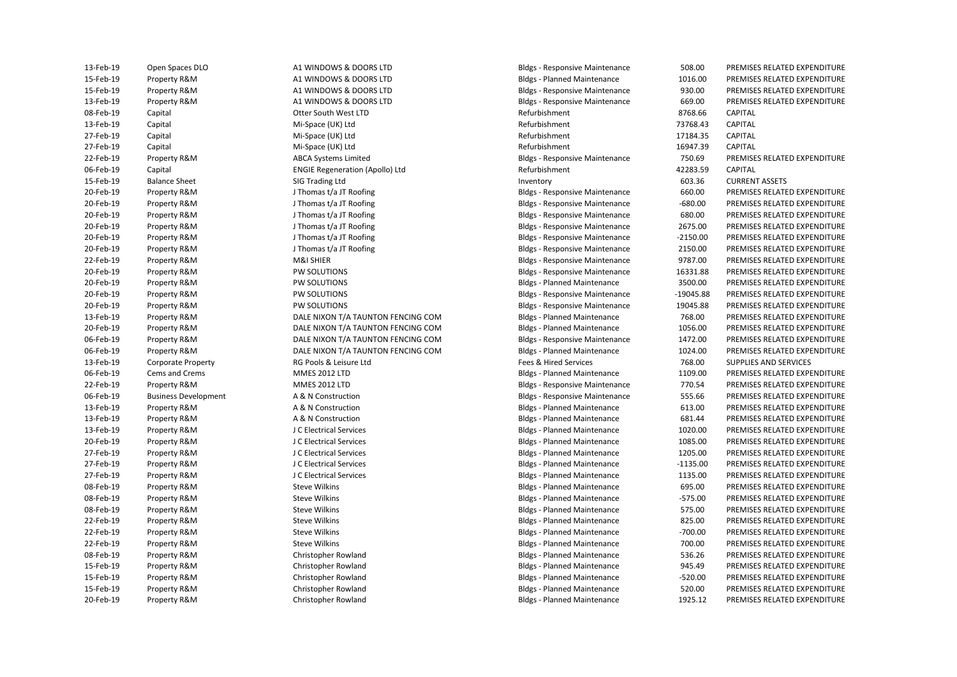| 13-Feb-19 | Open Spaces DLO             | A1 WINDOWS & DOORS LTD                 | <b>Bldgs - Responsive Maintenance</b> | 508.00      | PREMISES RELATED EXPENDITURE |
|-----------|-----------------------------|----------------------------------------|---------------------------------------|-------------|------------------------------|
| 15-Feb-19 | Property R&M                | A1 WINDOWS & DOORS LTD                 | <b>Bldgs - Planned Maintenance</b>    | 1016.00     | PREMISES RELATED EXPENDITURE |
| 15-Feb-19 | Property R&M                | A1 WINDOWS & DOORS LTD                 | <b>Bldgs - Responsive Maintenance</b> | 930.00      | PREMISES RELATED EXPENDITURE |
| 13-Feb-19 | Property R&M                | A1 WINDOWS & DOORS LTD                 | <b>Bldgs - Responsive Maintenance</b> | 669.00      | PREMISES RELATED EXPENDITURE |
| 08-Feb-19 | Capital                     | Otter South West LTD                   | Refurbishment                         | 8768.66     | CAPITAL                      |
| 13-Feb-19 | Capital                     | Mi-Space (UK) Ltd                      | Refurbishment                         | 73768.43    | CAPITAL                      |
| 27-Feb-19 | Capital                     | Mi-Space (UK) Ltd                      | Refurbishment                         | 17184.35    | CAPITAL                      |
| 27-Feb-19 | Capital                     | Mi-Space (UK) Ltd                      | Refurbishment                         | 16947.39    | CAPITAL                      |
| 22-Feb-19 | Property R&M                | <b>ABCA Systems Limited</b>            | <b>Bldgs - Responsive Maintenance</b> | 750.69      | PREMISES RELATED EXPENDITURE |
| 06-Feb-19 | Capital                     | <b>ENGIE Regeneration (Apollo) Ltd</b> | Refurbishment                         | 42283.59    | CAPITAL                      |
| 15-Feb-19 | <b>Balance Sheet</b>        | SIG Trading Ltd                        | Inventory                             | 603.36      | <b>CURRENT ASSETS</b>        |
| 20-Feb-19 | Property R&M                | J Thomas t/a JT Roofing                | <b>Bldgs - Responsive Maintenance</b> | 660.00      | PREMISES RELATED EXPENDITURE |
| 20-Feb-19 | Property R&M                | J Thomas t/a JT Roofing                | <b>Bldgs - Responsive Maintenance</b> | $-680.00$   | PREMISES RELATED EXPENDITURE |
| 20-Feb-19 | Property R&M                | J Thomas t/a JT Roofing                | <b>Bldgs - Responsive Maintenance</b> | 680.00      | PREMISES RELATED EXPENDITURE |
| 20-Feb-19 | Property R&M                | J Thomas t/a JT Roofing                | <b>Bldgs - Responsive Maintenance</b> | 2675.00     | PREMISES RELATED EXPENDITURE |
| 20-Feb-19 | Property R&M                | J Thomas t/a JT Roofing                | <b>Bldgs - Responsive Maintenance</b> | $-2150.00$  | PREMISES RELATED EXPENDITURE |
| 20-Feb-19 | Property R&M                | J Thomas t/a JT Roofing                | <b>Bldgs - Responsive Maintenance</b> | 2150.00     | PREMISES RELATED EXPENDITURE |
| 22-Feb-19 | Property R&M                | M&I SHIER                              | <b>Bldgs - Responsive Maintenance</b> | 9787.00     | PREMISES RELATED EXPENDITURE |
| 20-Feb-19 | Property R&M                | PW SOLUTIONS                           | <b>Bldgs - Responsive Maintenance</b> | 16331.88    | PREMISES RELATED EXPENDITURE |
| 20-Feb-19 | Property R&M                | PW SOLUTIONS                           | <b>Bldgs - Planned Maintenance</b>    | 3500.00     | PREMISES RELATED EXPENDITURE |
| 20-Feb-19 | Property R&M                | PW SOLUTIONS                           | <b>Bldgs - Responsive Maintenance</b> | $-19045.88$ | PREMISES RELATED EXPENDITURE |
| 20-Feb-19 | Property R&M                | PW SOLUTIONS                           | <b>Bldgs - Responsive Maintenance</b> | 19045.88    | PREMISES RELATED EXPENDITURE |
| 13-Feb-19 | Property R&M                | DALE NIXON T/A TAUNTON FENCING COM     | <b>Bldgs - Planned Maintenance</b>    | 768.00      | PREMISES RELATED EXPENDITURE |
| 20-Feb-19 | Property R&M                | DALE NIXON T/A TAUNTON FENCING COM     | <b>Bldgs - Planned Maintenance</b>    | 1056.00     | PREMISES RELATED EXPENDITURE |
| 06-Feb-19 | Property R&M                | DALE NIXON T/A TAUNTON FENCING COM     | <b>Bldgs - Responsive Maintenance</b> | 1472.00     | PREMISES RELATED EXPENDITURE |
| 06-Feb-19 | Property R&M                | DALE NIXON T/A TAUNTON FENCING COM     | <b>Bldgs - Planned Maintenance</b>    | 1024.00     | PREMISES RELATED EXPENDITURE |
| 13-Feb-19 | <b>Corporate Property</b>   | RG Pools & Leisure Ltd                 | Fees & Hired Services                 | 768.00      | SUPPLIES AND SERVICES        |
| 06-Feb-19 | Cems and Crems              | <b>MMES 2012 LTD</b>                   | <b>Bldgs - Planned Maintenance</b>    | 1109.00     | PREMISES RELATED EXPENDITURE |
| 22-Feb-19 | Property R&M                | <b>MMES 2012 LTD</b>                   | <b>Bldgs - Responsive Maintenance</b> | 770.54      | PREMISES RELATED EXPENDITURE |
| 06-Feb-19 | <b>Business Development</b> | A & N Construction                     | <b>Bldgs - Responsive Maintenance</b> | 555.66      | PREMISES RELATED EXPENDITURE |
| 13-Feb-19 | Property R&M                | A & N Construction                     | <b>Bldgs - Planned Maintenance</b>    | 613.00      | PREMISES RELATED EXPENDITURE |
| 13-Feb-19 | Property R&M                | A & N Construction                     | <b>Bldgs - Planned Maintenance</b>    | 681.44      | PREMISES RELATED EXPENDITURE |
| 13-Feb-19 | Property R&M                | J C Electrical Services                | <b>Bldgs - Planned Maintenance</b>    | 1020.00     | PREMISES RELATED EXPENDITURE |
| 20-Feb-19 | Property R&M                | J C Electrical Services                | <b>Bldgs - Planned Maintenance</b>    | 1085.00     | PREMISES RELATED EXPENDITURE |
| 27-Feb-19 | Property R&M                | J C Electrical Services                | <b>Bldgs - Planned Maintenance</b>    | 1205.00     | PREMISES RELATED EXPENDITURE |
| 27-Feb-19 | Property R&M                | J C Electrical Services                | <b>Bldgs - Planned Maintenance</b>    | $-1135.00$  | PREMISES RELATED EXPENDITURE |
| 27-Feb-19 | Property R&M                | J C Electrical Services                | <b>Bldgs - Planned Maintenance</b>    | 1135.00     | PREMISES RELATED EXPENDITURE |
| 08-Feb-19 | Property R&M                | <b>Steve Wilkins</b>                   | <b>Bldgs - Planned Maintenance</b>    | 695.00      | PREMISES RELATED EXPENDITURE |
| 08-Feb-19 | Property R&M                | <b>Steve Wilkins</b>                   | <b>Bldgs - Planned Maintenance</b>    | $-575.00$   | PREMISES RELATED EXPENDITURE |
| 08-Feb-19 | Property R&M                | <b>Steve Wilkins</b>                   | <b>Bldgs - Planned Maintenance</b>    | 575.00      | PREMISES RELATED EXPENDITURE |
| 22-Feb-19 | Property R&M                | <b>Steve Wilkins</b>                   | <b>Bldgs - Planned Maintenance</b>    | 825.00      | PREMISES RELATED EXPENDITURE |
| 22-Feb-19 | Property R&M                | <b>Steve Wilkins</b>                   | <b>Bldgs - Planned Maintenance</b>    | $-700.00$   | PREMISES RELATED EXPENDITURE |
| 22-Feb-19 | Property R&M                | <b>Steve Wilkins</b>                   | <b>Bldgs - Planned Maintenance</b>    | 700.00      | PREMISES RELATED EXPENDITURE |
| 08-Feb-19 | Property R&M                | Christopher Rowland                    | <b>Bldgs - Planned Maintenance</b>    | 536.26      | PREMISES RELATED EXPENDITURE |
| 15-Feb-19 | Property R&M                | Christopher Rowland                    | <b>Bldgs - Planned Maintenance</b>    | 945.49      | PREMISES RELATED EXPENDITURE |
| 15-Feb-19 | Property R&M                | Christopher Rowland                    | <b>Bldgs - Planned Maintenance</b>    | $-520.00$   | PREMISES RELATED EXPENDITURE |
| 15-Feb-19 | Property R&M                | Christopher Rowland                    | <b>Bldgs - Planned Maintenance</b>    | 520.00      | PREMISES RELATED EXPENDITURE |
| 20-Feb-19 | Property R&M                | Christopher Rowland                    | <b>Bldgs - Planned Maintenance</b>    | 1925.12     | PREMISES RELATED EXPENDITURE |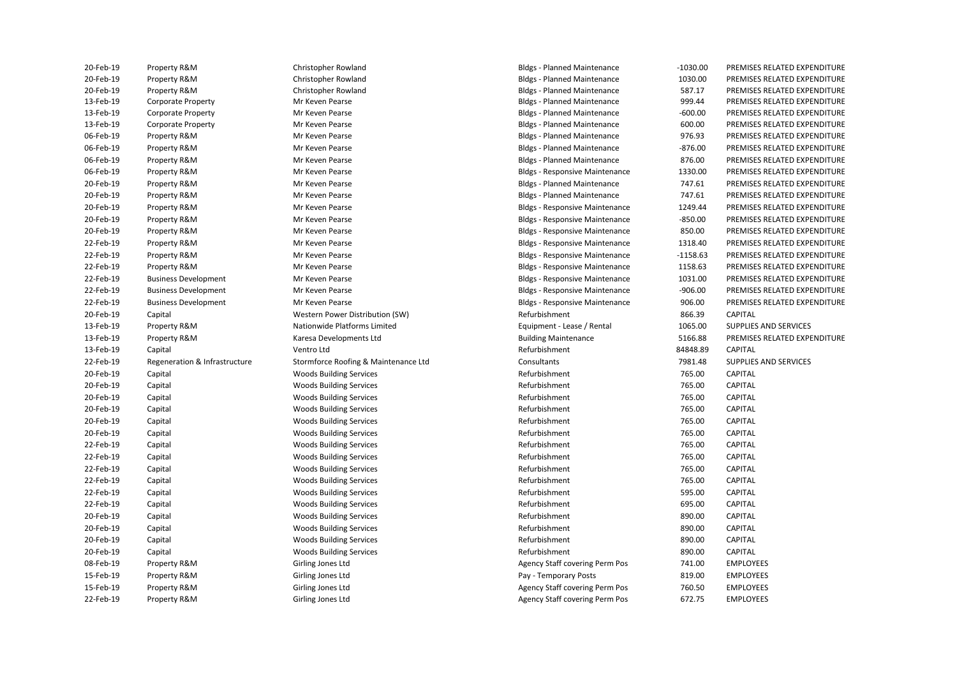| 20-Feb-19 | Property R&M                  | Christopher Rowland                  | <b>Bldgs - Planned Maintenance</b>    | $-1030.00$ | PREMISES RELATED EXPENDITURE |
|-----------|-------------------------------|--------------------------------------|---------------------------------------|------------|------------------------------|
| 20-Feb-19 | Property R&M                  | Christopher Rowland                  | <b>Bldgs - Planned Maintenance</b>    | 1030.00    | PREMISES RELATED EXPENDITURE |
| 20-Feb-19 | Property R&M                  | Christopher Rowland                  | <b>Bldgs - Planned Maintenance</b>    | 587.17     | PREMISES RELATED EXPENDITURE |
| 13-Feb-19 | <b>Corporate Property</b>     | Mr Keven Pearse                      | <b>Bldgs - Planned Maintenance</b>    | 999.44     | PREMISES RELATED EXPENDITURE |
| 13-Feb-19 | <b>Corporate Property</b>     | Mr Keven Pearse                      | <b>Bldgs - Planned Maintenance</b>    | $-600.00$  | PREMISES RELATED EXPENDITURE |
| 13-Feb-19 | Corporate Property            | Mr Keven Pearse                      | <b>Bldgs - Planned Maintenance</b>    | 600.00     | PREMISES RELATED EXPENDITURE |
| 06-Feb-19 | Property R&M                  | Mr Keven Pearse                      | <b>Bldgs - Planned Maintenance</b>    | 976.93     | PREMISES RELATED EXPENDITURE |
| 06-Feb-19 | Property R&M                  | Mr Keven Pearse                      | <b>Bldgs - Planned Maintenance</b>    | $-876.00$  | PREMISES RELATED EXPENDITURE |
| 06-Feb-19 | Property R&M                  | Mr Keven Pearse                      | <b>Bldgs - Planned Maintenance</b>    | 876.00     | PREMISES RELATED EXPENDITURE |
| 06-Feb-19 | Property R&M                  | Mr Keven Pearse                      | <b>Bldgs - Responsive Maintenance</b> | 1330.00    | PREMISES RELATED EXPENDITURE |
| 20-Feb-19 | Property R&M                  | Mr Keven Pearse                      | <b>Bldgs - Planned Maintenance</b>    | 747.61     | PREMISES RELATED EXPENDITURE |
| 20-Feb-19 | Property R&M                  | Mr Keven Pearse                      | <b>Bldgs - Planned Maintenance</b>    | 747.61     | PREMISES RELATED EXPENDITURE |
| 20-Feb-19 | Property R&M                  | Mr Keven Pearse                      | <b>Bldgs - Responsive Maintenance</b> | 1249.44    | PREMISES RELATED EXPENDITURE |
| 20-Feb-19 | Property R&M                  | Mr Keven Pearse                      | <b>Bldgs - Responsive Maintenance</b> | $-850.00$  | PREMISES RELATED EXPENDITURE |
| 20-Feb-19 | Property R&M                  | Mr Keven Pearse                      | <b>Bldgs - Responsive Maintenance</b> | 850.00     | PREMISES RELATED EXPENDITURE |
| 22-Feb-19 | Property R&M                  | Mr Keven Pearse                      | <b>Bldgs - Responsive Maintenance</b> | 1318.40    | PREMISES RELATED EXPENDITURE |
| 22-Feb-19 | Property R&M                  | Mr Keven Pearse                      | <b>Bldgs - Responsive Maintenance</b> | $-1158.63$ | PREMISES RELATED EXPENDITURE |
| 22-Feb-19 | Property R&M                  | Mr Keven Pearse                      | <b>Bldgs - Responsive Maintenance</b> | 1158.63    | PREMISES RELATED EXPENDITURE |
| 22-Feb-19 | <b>Business Development</b>   | Mr Keven Pearse                      | <b>Bldgs - Responsive Maintenance</b> | 1031.00    | PREMISES RELATED EXPENDITURE |
| 22-Feb-19 | <b>Business Development</b>   | Mr Keven Pearse                      | <b>Bldgs - Responsive Maintenance</b> | $-906.00$  | PREMISES RELATED EXPENDITURE |
| 22-Feb-19 | <b>Business Development</b>   | Mr Keven Pearse                      | <b>Bldgs - Responsive Maintenance</b> | 906.00     | PREMISES RELATED EXPENDITURE |
| 20-Feb-19 | Capital                       | Western Power Distribution (SW)      | Refurbishment                         | 866.39     | <b>CAPITAL</b>               |
| 13-Feb-19 | Property R&M                  | Nationwide Platforms Limited         | Equipment - Lease / Rental            | 1065.00    | SUPPLIES AND SERVICES        |
| 13-Feb-19 | Property R&M                  | Karesa Developments Ltd              | <b>Building Maintenance</b>           | 5166.88    | PREMISES RELATED EXPENDITURE |
| 13-Feb-19 | Capital                       | Ventro Ltd                           | Refurbishment                         | 84848.89   | <b>CAPITAL</b>               |
| 22-Feb-19 | Regeneration & Infrastructure | Stormforce Roofing & Maintenance Ltd | Consultants                           | 7981.48    | SUPPLIES AND SERVICES        |
| 20-Feb-19 | Capital                       | <b>Woods Building Services</b>       | Refurbishment                         | 765.00     | <b>CAPITAL</b>               |
| 20-Feb-19 | Capital                       | Woods Building Services              | Refurbishment                         | 765.00     | <b>CAPITAL</b>               |
| 20-Feb-19 | Capital                       | <b>Woods Building Services</b>       | Refurbishment                         | 765.00     | <b>CAPITAL</b>               |
| 20-Feb-19 |                               |                                      |                                       |            |                              |
|           | Capital                       | <b>Woods Building Services</b>       | Refurbishment                         | 765.00     | <b>CAPITAL</b>               |
| 20-Feb-19 | Capital                       | <b>Woods Building Services</b>       | Refurbishment                         | 765.00     | <b>CAPITAL</b>               |
| 20-Feb-19 | Capital                       | <b>Woods Building Services</b>       | Refurbishment                         | 765.00     | CAPITAL                      |
| 22-Feb-19 | Capital                       | <b>Woods Building Services</b>       | Refurbishment                         | 765.00     | <b>CAPITAL</b>               |
| 22-Feb-19 | Capital                       | <b>Woods Building Services</b>       | Refurbishment                         | 765.00     | CAPITAL                      |
| 22-Feb-19 | Capital                       | <b>Woods Building Services</b>       | Refurbishment                         | 765.00     | <b>CAPITAL</b>               |
| 22-Feb-19 | Capital                       | <b>Woods Building Services</b>       | Refurbishment                         | 765.00     | <b>CAPITAL</b>               |
| 22-Feb-19 | Capital                       | Woods Building Services              | Refurbishment                         | 595.00     | CAPITAL                      |
| 22-Feb-19 | Capital                       | <b>Woods Building Services</b>       | Refurbishment                         | 695.00     | <b>CAPITAL</b>               |
| 20-Feb-19 | Capital                       | Woods Building Services              | Refurbishment                         | 890.00     | CAPITAL                      |
| 20-Feb-19 | Capital                       | <b>Woods Building Services</b>       | Refurbishment                         | 890.00     | <b>CAPITAL</b>               |
| 20-Feb-19 | Capital                       | <b>Woods Building Services</b>       | Refurbishment                         | 890.00     | CAPITAL                      |
| 20-Feb-19 | Capital                       | <b>Woods Building Services</b>       | Refurbishment                         | 890.00     | <b>CAPITAL</b>               |
| 08-Feb-19 | Property R&M                  | Girling Jones Ltd                    | Agency Staff covering Perm Pos        | 741.00     | <b>EMPLOYEES</b>             |
| 15-Feb-19 | Property R&M                  | Girling Jones Ltd                    | Pay - Temporary Posts                 | 819.00     | <b>EMPLOYEES</b>             |
| 15-Feb-19 | Property R&M                  | Girling Jones Ltd                    | Agency Staff covering Perm Pos        | 760.50     | <b>EMPLOYEES</b>             |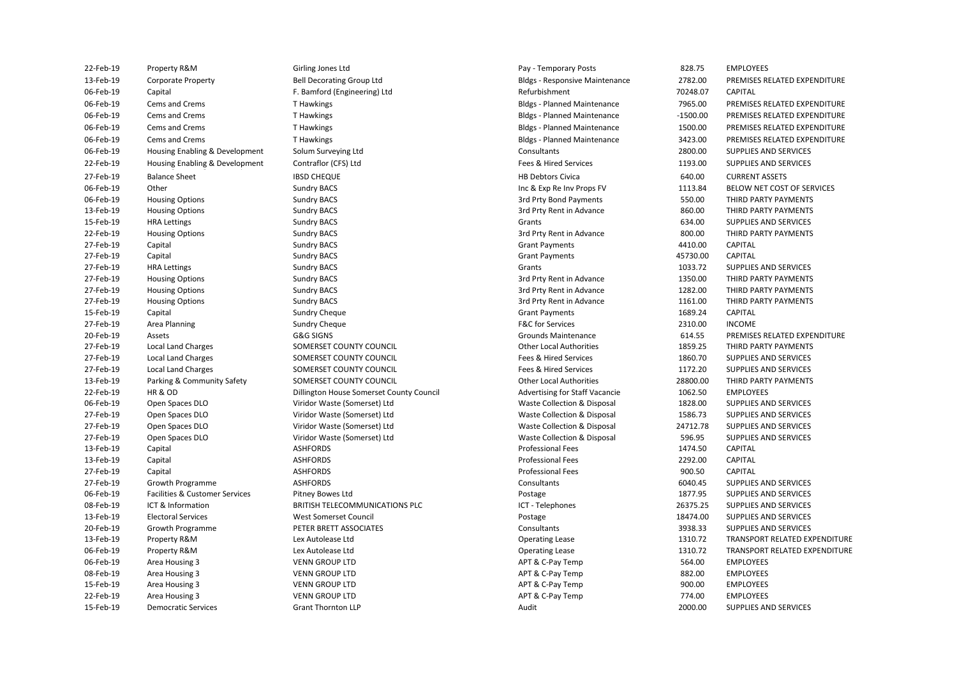| 22-Feb-19 | Property R&M                   | Girling Jones Ltd                        | Pay - Temporary Posts                 | 828.75     | <b>EMPLOYEES</b>              |
|-----------|--------------------------------|------------------------------------------|---------------------------------------|------------|-------------------------------|
| 13-Feb-19 | Corporate Property             | <b>Bell Decorating Group Ltd</b>         | <b>Bldgs - Responsive Maintenance</b> | 2782.00    | PREMISES RELATED EXPENDITURE  |
| 06-Feb-19 | Capital                        | F. Bamford (Engineering) Ltd             | Refurbishment                         | 70248.07   | CAPITAL                       |
| 06-Feb-19 | Cems and Crems                 | T Hawkings                               | <b>Bldgs - Planned Maintenance</b>    | 7965.00    | PREMISES RELATED EXPENDITURE  |
| 06-Feb-19 | Cems and Crems                 | T Hawkings                               | <b>Bldgs - Planned Maintenance</b>    | $-1500.00$ | PREMISES RELATED EXPENDITURE  |
| 06-Feb-19 | Cems and Crems                 | T Hawkings                               | <b>Bldgs - Planned Maintenance</b>    | 1500.00    | PREMISES RELATED EXPENDITURE  |
| 06-Feb-19 | Cems and Crems                 | T Hawkings                               | <b>Bldgs - Planned Maintenance</b>    | 3423.00    | PREMISES RELATED EXPENDITURE  |
| 06-Feb-19 | Housing Enabling & Development | Solum Surveying Ltd                      | Consultants                           | 2800.00    | SUPPLIES AND SERVICES         |
| 22-Feb-19 | Housing Enabling & Development | Contraflor (CFS) Ltd                     | Fees & Hired Services                 | 1193.00    | SUPPLIES AND SERVICES         |
| 27-Feb-19 | <b>Balance Sheet</b>           | <b>IBSD CHEQUE</b>                       | <b>HB Debtors Civica</b>              | 640.00     | <b>CURRENT ASSETS</b>         |
| 06-Feb-19 | Other                          | <b>Sundry BACS</b>                       | Inc & Exp Re Inv Props FV             | 1113.84    | BELOW NET COST OF SERVICES    |
| 06-Feb-19 | <b>Housing Options</b>         | <b>Sundry BACS</b>                       | 3rd Prty Bond Payments                | 550.00     | THIRD PARTY PAYMENTS          |
| 13-Feb-19 | <b>Housing Options</b>         | <b>Sundry BACS</b>                       | 3rd Prty Rent in Advance              | 860.00     | THIRD PARTY PAYMENTS          |
| 15-Feb-19 | <b>HRA Lettings</b>            | <b>Sundry BACS</b>                       | Grants                                | 634.00     | SUPPLIES AND SERVICES         |
| 22-Feb-19 | <b>Housing Options</b>         | <b>Sundry BACS</b>                       | 3rd Prty Rent in Advance              | 800.00     | THIRD PARTY PAYMENTS          |
| 27-Feb-19 | Capital                        | <b>Sundry BACS</b>                       | <b>Grant Payments</b>                 | 4410.00    | <b>CAPITAL</b>                |
| 27-Feb-19 | Capital                        | <b>Sundry BACS</b>                       | <b>Grant Payments</b>                 | 45730.00   | CAPITAL                       |
| 27-Feb-19 | <b>HRA Lettings</b>            | <b>Sundry BACS</b>                       | Grants                                | 1033.72    | SUPPLIES AND SERVICES         |
| 27-Feb-19 | <b>Housing Options</b>         | <b>Sundry BACS</b>                       | 3rd Prty Rent in Advance              | 1350.00    | THIRD PARTY PAYMENTS          |
| 27-Feb-19 | <b>Housing Options</b>         | <b>Sundry BACS</b>                       | 3rd Prty Rent in Advance              | 1282.00    | THIRD PARTY PAYMENTS          |
| 27-Feb-19 | <b>Housing Options</b>         | <b>Sundry BACS</b>                       | 3rd Prty Rent in Advance              | 1161.00    | THIRD PARTY PAYMENTS          |
| 15-Feb-19 | Capital                        | Sundry Cheque                            | <b>Grant Payments</b>                 | 1689.24    | CAPITAL                       |
| 27-Feb-19 | Area Planning                  | Sundry Cheque                            | F&C for Services                      | 2310.00    | <b>INCOME</b>                 |
| 20-Feb-19 | Assets                         | G&G SIGNS                                | Grounds Maintenance                   | 614.55     | PREMISES RELATED EXPENDITURE  |
| 27-Feb-19 | <b>Local Land Charges</b>      | SOMERSET COUNTY COUNCIL                  | <b>Other Local Authorities</b>        | 1859.25    | THIRD PARTY PAYMENTS          |
| 27-Feb-19 | Local Land Charges             | SOMERSET COUNTY COUNCIL                  | Fees & Hired Services                 | 1860.70    | SUPPLIES AND SERVICES         |
| 27-Feb-19 | <b>Local Land Charges</b>      | SOMERSET COUNTY COUNCIL                  | Fees & Hired Services                 | 1172.20    | SUPPLIES AND SERVICES         |
| 13-Feb-19 | Parking & Community Safety     | SOMERSET COUNTY COUNCIL                  | <b>Other Local Authorities</b>        | 28800.00   | THIRD PARTY PAYMENTS          |
| 22-Feb-19 | HR & OD                        | Dillington House Somerset County Council | Advertising for Staff Vacancie        | 1062.50    | <b>EMPLOYEES</b>              |
| 06-Feb-19 | Open Spaces DLO                | Viridor Waste (Somerset) Ltd             | Waste Collection & Disposal           | 1828.00    | SUPPLIES AND SERVICES         |
| 27-Feb-19 | Open Spaces DLO                | Viridor Waste (Somerset) Ltd             | Waste Collection & Disposal           | 1586.73    | SUPPLIES AND SERVICES         |
| 27-Feb-19 | Open Spaces DLO                | Viridor Waste (Somerset) Ltd             | Waste Collection & Disposal           | 24712.78   | SUPPLIES AND SERVICES         |
| 27-Feb-19 | Open Spaces DLO                | Viridor Waste (Somerset) Ltd             | Waste Collection & Disposal           | 596.95     | SUPPLIES AND SERVICES         |
| 13-Feb-19 | Capital                        | <b>ASHFORDS</b>                          | <b>Professional Fees</b>              | 1474.50    | CAPITAL                       |
| 13-Feb-19 | Capital                        | <b>ASHFORDS</b>                          | <b>Professional Fees</b>              | 2292.00    | CAPITAL                       |
| 27-Feb-19 | Capital                        | <b>ASHFORDS</b>                          | <b>Professional Fees</b>              | 900.50     | CAPITAL                       |
| 27-Feb-19 | Growth Programme               | <b>ASHFORDS</b>                          | Consultants                           | 6040.45    | SUPPLIES AND SERVICES         |
| 06-Feb-19 | Facilities & Customer Services | Pitney Bowes Ltd                         | Postage                               | 1877.95    | SUPPLIES AND SERVICES         |
| 08-Feb-19 | ICT & Information              | BRITISH TELECOMMUNICATIONS PLC           | ICT - Telephones                      | 26375.25   | SUPPLIES AND SERVICES         |
| 13-Feb-19 | <b>Electoral Services</b>      | <b>West Somerset Council</b>             | Postage                               | 18474.00   | SUPPLIES AND SERVICES         |
| 20-Feb-19 | Growth Programme               | PETER BRETT ASSOCIATES                   | Consultants                           | 3938.33    | SUPPLIES AND SERVICES         |
| 13-Feb-19 | Property R&M                   | Lex Autolease Ltd                        | <b>Operating Lease</b>                | 1310.72    | TRANSPORT RELATED EXPENDITURE |
| 06-Feb-19 | Property R&M                   | Lex Autolease Ltd                        | <b>Operating Lease</b>                | 1310.72    | TRANSPORT RELATED EXPENDITURE |
| 06-Feb-19 | Area Housing 3                 | <b>VENN GROUP LTD</b>                    | APT & C-Pay Temp                      | 564.00     | <b>EMPLOYEES</b>              |
| 08-Feb-19 | Area Housing 3                 | <b>VENN GROUP LTD</b>                    | APT & C-Pay Temp                      | 882.00     | <b>EMPLOYEES</b>              |
| 15-Feb-19 | Area Housing 3                 | <b>VENN GROUP LTD</b>                    | APT & C-Pay Temp                      | 900.00     | <b>EMPLOYEES</b>              |
| 22-Feb-19 | Area Housing 3                 | <b>VENN GROUP LTD</b>                    | APT & C-Pay Temp                      | 774.00     | <b>EMPLOYEES</b>              |
| 15-Feb-19 | <b>Democratic Services</b>     | <b>Grant Thornton LLP</b>                | Audit                                 | 2000.00    | SUPPLIES AND SERVICES         |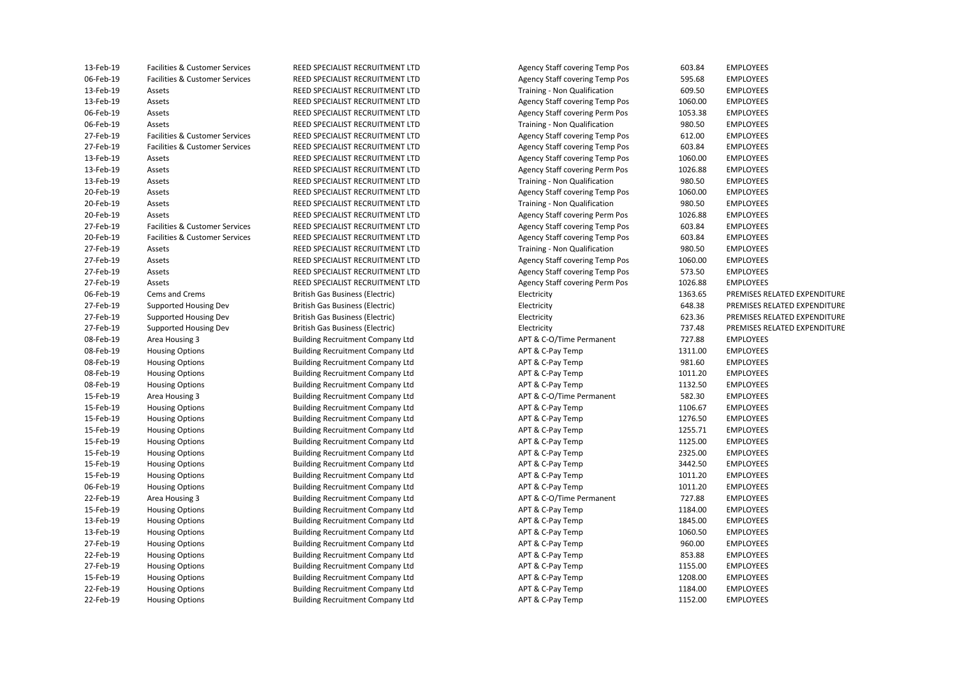| 13-Feb-19   | Facilities & Customer Services            |
|-------------|-------------------------------------------|
| 06-Feb-19   | Facilities & Customer Services            |
| 13-Feb-19   | Assets                                    |
| 13-Feb-19   | Assets                                    |
| 06-Feb-19   | Assets                                    |
| 06-Feb-19   | Assets                                    |
| 27-Feb-19   | <b>Facilities &amp; Customer Services</b> |
| 27-Feb-19   | <b>Facilities &amp; Customer Services</b> |
| 13-Feb-19   | Assets                                    |
| 13-Feb-19   | Assets                                    |
| 13-Feb-19   | Assets                                    |
| 20-Feb-19   | Assets                                    |
| 20-Feb-19   | Assets                                    |
| 20-Feb-19   | Assets                                    |
| 27-Feb-19   | <b>Facilities &amp; Customer Services</b> |
| 20-Feb-19   | Facilities & Customer Services            |
| 27-Feb-19   | Assets                                    |
| 27-Feb-19   | Assets                                    |
| 27-Feb-19   | Assets                                    |
| 27-Feb-19   | Assets                                    |
| 06-Feb-19   | <b>Cems and Crems</b>                     |
| 27-Feb-19   | <b>Supported Housing Dev</b>              |
| 27-Feb-19   | <b>Supported Housing Dev</b>              |
| 27-Feb-19   | Supported Housing Dev                     |
| 08-Feb-19   | Area Housing 3                            |
| 08-Feb-19   | <b>Housing Options</b>                    |
| 08-Feb-19   | <b>Housing Options</b>                    |
| 08-Feb-19   | <b>Housing Options</b>                    |
| 08-Feb-19   | <b>Housing Options</b>                    |
| 15-Feb-19   | Area Housing 3                            |
| 15-Feb-19   | <b>Housing Options</b>                    |
| 15-Feb-19   | <b>Housing Options</b>                    |
| 15-Feb-19   | <b>Housing Options</b>                    |
| 15-Feb-19   | <b>Housing Options</b>                    |
| 15-Feb-19   | <b>Housing Options</b>                    |
| 15-Feb-19   | <b>Housing Options</b>                    |
| 15-Feb-19   | <b>Housing Options</b>                    |
| 06-Feb-19   | <b>Housing Options</b>                    |
| 22-Feb-19   | Area Housing 3                            |
| 15-Feb-19   | <b>Housing Options</b>                    |
| 13-Feb-19   | <b>Housing Options</b>                    |
| 13-Feb-19   | <b>Housing Options</b>                    |
| 27-Feb-19   | <b>Housing Options</b>                    |
| 22-Feb-19   | <b>Housing Options</b>                    |
| 27-Feb-19   | <b>Housing Options</b>                    |
| 15-Feb-19   | <b>Housing Options</b>                    |
| 22-Feb-19   | <b>Housing Options</b>                    |
| $72-Feh-19$ | Housing Ontions                           |

REED SPECIALIST RECRUITMENT LTD REED SPECIALIST RECRUITMENT LTD REED SPECIALIST RECRUITMENT LTD REED SPECIALIST RECRUITMENT LTD REED SPECIALIST RECRUITMENT LTD REED SPECIALIST RECRUITMENT LTD REED SPECIALIST RECRUITMENT LTD REED SPECIALIST RECRUITMENT LTD REED SPECIALIST RECRUITMENT LTD REED SPECIALIST RECRUITMENT LTD **British Gas Business (Electric) British Gas Business (Electric) British Gas Business (Electric) British Gas Business (Electric)** 

06-Feb-19 Facilities & Customer Services REED SPECIALIST RECRUITMENT LTD Agency Staff covering Temp Pos 595.68 EMPLOYEES 13-Feb-19 Assets REED SPECIALIST RECRUITMENT LTD Training - Non Qualification 609.50 EMPLOYEES 06-Feb-19 Assets REED SPECIALIST RECRUITMENT LTD Agency Staff covering Perm Pos 1053.38 EMPLOYEES 06-Feb-19 Assets REED SPECIALIST RECRUITMENT LTD Training - Non Qualification 980.50 EMPLOYEES 13-Feb-19 Assets REED SPECIALIST RECRUITMENT LTD Agency Staff covering Temp Pos 1060.00 EMPLOYEES 13-Feb-19 Assets REED SPECIALIST RECRUITMENT LTD Training - Non Qualification 980.50 EMPLOYEES 20-Feb-19 Assets REED SPECIALIST RECRUITMENT LTD Training - Non Qualification 980.50 EMPLOYEES 20-Feb-19 Assets REED SPECIALIST RECRUITMENT LTD Agency Staff covering Perm Pos 1026.88 EMPLOYEES 27-Feb-19 Facilities & Customer Services REED SPECIALIST RECRUITMENT LTD Agency Staff covering Temp Pos 603.84 EMPLOYEES 27-Feb-19 Assets REED SPECIALIST RECRUITMENT LTD Training - Non Qualification 980.50 EMPLOYEES APT & C-O/Time Permanent APT & C-Pay Temp APT & C-Pav Temp APT & C-Pay Temp APT & C-Pay Temp APT & C-O/Time Permanent APT & C-Pay Temp APT & C-Pay Temp APT & C-Pay Temp APT & C-Pay Temp APT & C-Pav Temp APT & C-Pay Temp APT & C-Pay Temp APT & C-Pav Temp APT & C-O/Time Permanent APT & C-Pay Temp APT & C-Pay Temp APT & C-Pay Temp APT & C-Pay Temp APT & C-Pay Temp APT & C-Pav Temp APT & C-Pay Temp APT & C-Pay Temp APT & C-Pay Temp Agency Staff covering Temp Pos 603.84 EMPLOYEES Agency Staff covering Temp Pos 1060.00 EMPLOYEES Agency Staff covering Temp Pos 612.00 EMPLOYEES Agency Staff covering Temp Pos 603.84 EMPLOYEES Agency Staff covering Perm Pos 1026.88 EMPLOYEES Agency Staff covering Temp Pos 1060.00 EMPLOYEES Agency Staff covering Temp Pos 603.84 EMPLOYEES Agency Staff covering Temp Pos 1060.00 EMPLOYEES Agency Staff covering Temp Pos 573.50 EMPLOYEES Agency Staff covering Perm Pos 1026.88 EMPLOYEES Electricity **Electricity** CREMISES RELATED EXPENDITURE Electricity **Electricity** Supported Housing Gas Business (ELECTRIC PREMISES RELATED EXPENDITURE 27-Feb-19 Supported Housing Dev British Gas Business (Electric) Electricity 623.36 PREMISES RELATED EXPENDITURE Electricity **Supported Housing Device British Gas Business (ELECTRIC PREMISES RELATED EXPENDITURE** 08-Feb-19 Area Housing 3 Building Recruitment Company Ltd APT & C-O/Time Permanent 727.88 EMPLOYEES 08-Feb-19 Housing Options Building Recruitment Company Ltd APT & C-Pay Temp 1311.00 EMPLOYEES 08-Feb-19 Housing Options Building Recruitment Company Ltd APT & C-Pay Temp 981.60 EMPLOYEES Building Recruitment Company Ltd **APT & C-Pay Temp** 1011.20 EMPLOYEES 08-Feb-19 Housing Options Building Recruitment Company Ltd APT & C-Pay Temp 1132.50 EMPLOYEES 15-Feb-19 Area Housing 3 Building Recruitment Company Ltd APT & C-O/Time Permanent 582.30 EMPLOYEES 15-Feb-19 Housing Options Building Recruitment Company Ltd APT & C-Pay Temp 1106.67 EMPLOYEES 15-Feb-19 Housing Options Building Recruitment Company Ltd APT & C-Pay Temp 1276.50 EMPLOYEES 15-Feb-19 Housing Options Building Recruitment Company Ltd APT & C-Pay Temp 1255.71 EMPLOYEES 15-Feb-19 Housing Options Building Recruitment Company Ltd APT & C-Pay Temp 1125.00 EMPLOYEES 15-Feb-19 Housing Options Building Recruitment Company Ltd APT & C-Pay Temp 2325.00 EMPLOYEES 15-Feb-19 Housing Options Building Recruitment Company Ltd APT & C-Pay Temp 3442.50 EMPLOYEES 15-Feb-19 Housing Options Building Recruitment Company Ltd APT & C-Pay Temp 1011.20 EMPLOYEES Building Recruitment Company Ltd **APT & C-Pay Temp** 1011.20 EMPLOYEES Building Recruitment Company Ltd **ART & C-O/Time Permanent** 727.88 EMPLOYEES Building Recruitment Company Ltd **APT & C-Pay Temp** 1184.00 EMPLOYEES 13-Feb-19 Housing Options Building Recruitment Company Ltd APT & C-Pay Temp 1845.00 EMPLOYEES 13-Feb-19 Housing Options Building Recruitment Company Ltd APT & C-Pay Temp 1060.50 EMPLOYEES 27-Feb-19 Housing Options Building Recruitment Company Ltd APT & C-Pay Temp 960.00 EMPLOYEES 22-February 22-February 22-February 22-February 23-February 23-February 23-February 23-February 23-February 23-February 23-February 23-February 23-February 23-February 23-February 23-February 23-February 23-February 23-Feb 27-February 27-February 27-February 27-February 27-February 27-February 27-February 27-February 27-February 20<br>APT & C-Pay Temp 1155.00 EMPLOYEES 15-Feb-19 Housing Options Building Recruitment Company Ltd APT & C-Pay Temp 1208.00 EMPLOYEES 22-February 22-February 22-February 22-February 22-February 23-February 23-February 23-February 23-February 23-February 23-February 23-February 23-February 23-February 23-February 23-February 23-February 23-February 23-Feb ng Options and 22-Feb-19 Housing Options Building Recruitment Company Ltd APT & C-Pay Temp 1152.00 EMPLOYEES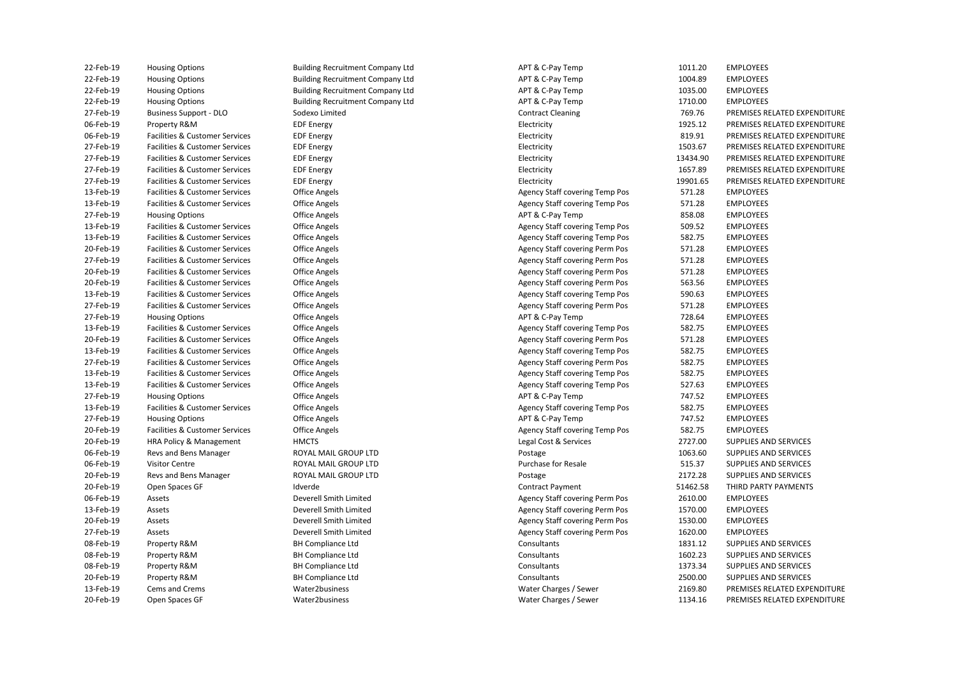| 22-Feb-19 | <b>Housing Options</b>                    | <b>Building Recruitment Company Ltd</b> | APT & C-Pay Temp                      | 1011.20  | <b>EMPLOYEES</b>             |
|-----------|-------------------------------------------|-----------------------------------------|---------------------------------------|----------|------------------------------|
| 22-Feb-19 | <b>Housing Options</b>                    | <b>Building Recruitment Company Ltd</b> | APT & C-Pay Temp                      | 1004.89  | <b>EMPLOYEES</b>             |
| 22-Feb-19 | <b>Housing Options</b>                    | <b>Building Recruitment Company Ltd</b> | APT & C-Pay Temp                      | 1035.00  | <b>EMPLOYEES</b>             |
| 22-Feb-19 | <b>Housing Options</b>                    | <b>Building Recruitment Company Ltd</b> | APT & C-Pay Temp                      | 1710.00  | <b>EMPLOYEES</b>             |
| 27-Feb-19 | <b>Business Support - DLO</b>             | Sodexo Limited                          | <b>Contract Cleaning</b>              | 769.76   | PREMISES RELATED EXPENDITURE |
| 06-Feb-19 | Property R&M                              | <b>EDF Energy</b>                       | Electricity                           | 1925.12  | PREMISES RELATED EXPENDITURE |
| 06-Feb-19 | Facilities & Customer Services            | <b>EDF</b> Energy                       | Electricity                           | 819.91   | PREMISES RELATED EXPENDITURE |
| 27-Feb-19 | Facilities & Customer Services            | <b>EDF Energy</b>                       | Electricity                           | 1503.67  | PREMISES RELATED EXPENDITURE |
| 27-Feb-19 | Facilities & Customer Services            | <b>EDF Energy</b>                       | Electricity                           | 13434.90 | PREMISES RELATED EXPENDITURE |
| 27-Feb-19 | Facilities & Customer Services            | <b>EDF Energy</b>                       | Electricity                           | 1657.89  | PREMISES RELATED EXPENDITURE |
| 27-Feb-19 | Facilities & Customer Services            | <b>EDF Energy</b>                       | Electricity                           | 19901.65 | PREMISES RELATED EXPENDITURE |
| 13-Feb-19 | Facilities & Customer Services            | <b>Office Angels</b>                    | Agency Staff covering Temp Pos        | 571.28   | <b>EMPLOYEES</b>             |
| 13-Feb-19 | Facilities & Customer Services            | <b>Office Angels</b>                    | Agency Staff covering Temp Pos        | 571.28   | <b>EMPLOYEES</b>             |
| 27-Feb-19 | <b>Housing Options</b>                    | Office Angels                           | APT & C-Pay Temp                      | 858.08   | <b>EMPLOYEES</b>             |
| 13-Feb-19 | Facilities & Customer Services            | <b>Office Angels</b>                    | Agency Staff covering Temp Pos        | 509.52   | <b>EMPLOYEES</b>             |
| 13-Feb-19 | Facilities & Customer Services            | <b>Office Angels</b>                    | <b>Agency Staff covering Temp Pos</b> | 582.75   | <b>EMPLOYEES</b>             |
| 20-Feb-19 | Facilities & Customer Services            | <b>Office Angels</b>                    | <b>Agency Staff covering Perm Pos</b> | 571.28   | <b>EMPLOYEES</b>             |
| 27-Feb-19 | <b>Facilities &amp; Customer Services</b> | Office Angels                           | Agency Staff covering Perm Pos        | 571.28   | <b>EMPLOYEES</b>             |
| 20-Feb-19 | Facilities & Customer Services            | <b>Office Angels</b>                    | Agency Staff covering Perm Pos        | 571.28   | <b>EMPLOYEES</b>             |
| 20-Feb-19 | Facilities & Customer Services            | <b>Office Angels</b>                    | <b>Agency Staff covering Perm Pos</b> | 563.56   | <b>EMPLOYEES</b>             |
| 13-Feb-19 | Facilities & Customer Services            |                                         |                                       | 590.63   |                              |
| 27-Feb-19 |                                           | Office Angels                           | <b>Agency Staff covering Temp Pos</b> |          | <b>EMPLOYEES</b>             |
|           | Facilities & Customer Services            | <b>Office Angels</b>                    | <b>Agency Staff covering Perm Pos</b> | 571.28   | <b>EMPLOYEES</b>             |
| 27-Feb-19 | <b>Housing Options</b>                    | Office Angels                           | APT & C-Pay Temp                      | 728.64   | <b>EMPLOYEES</b>             |
| 13-Feb-19 | Facilities & Customer Services            | <b>Office Angels</b>                    | Agency Staff covering Temp Pos        | 582.75   | <b>EMPLOYEES</b>             |
| 20-Feb-19 | <b>Facilities &amp; Customer Services</b> | Office Angels                           | Agency Staff covering Perm Pos        | 571.28   | <b>EMPLOYEES</b>             |
| 13-Feb-19 | Facilities & Customer Services            | <b>Office Angels</b>                    | Agency Staff covering Temp Pos        | 582.75   | <b>EMPLOYEES</b>             |
| 27-Feb-19 | Facilities & Customer Services            | <b>Office Angels</b>                    | <b>Agency Staff covering Perm Pos</b> | 582.75   | <b>EMPLOYEES</b>             |
| 13-Feb-19 | Facilities & Customer Services            | Office Angels                           | <b>Agency Staff covering Temp Pos</b> | 582.75   | <b>EMPLOYEES</b>             |
| 13-Feb-19 | Facilities & Customer Services            | Office Angels                           | Agency Staff covering Temp Pos        | 527.63   | <b>EMPLOYEES</b>             |
| 27-Feb-19 | <b>Housing Options</b>                    | <b>Office Angels</b>                    | APT & C-Pay Temp                      | 747.52   | <b>EMPLOYEES</b>             |
| 13-Feb-19 | Facilities & Customer Services            | <b>Office Angels</b>                    | Agency Staff covering Temp Pos        | 582.75   | <b>EMPLOYEES</b>             |
| 27-Feb-19 | <b>Housing Options</b>                    | <b>Office Angels</b>                    | APT & C-Pay Temp                      | 747.52   | <b>EMPLOYEES</b>             |
| 20-Feb-19 | Facilities & Customer Services            | <b>Office Angels</b>                    | <b>Agency Staff covering Temp Pos</b> | 582.75   | <b>EMPLOYEES</b>             |
| 20-Feb-19 | HRA Policy & Management                   | <b>HMCTS</b>                            | Legal Cost & Services                 | 2727.00  | SUPPLIES AND SERVICES        |
| 06-Feb-19 | Revs and Bens Manager                     | ROYAL MAIL GROUP LTD                    | Postage                               | 1063.60  | SUPPLIES AND SERVICES        |
| 06-Feb-19 | <b>Visitor Centre</b>                     | ROYAL MAIL GROUP LTD                    | Purchase for Resale                   | 515.37   | SUPPLIES AND SERVICES        |
| 20-Feb-19 | Revs and Bens Manager                     | ROYAL MAIL GROUP LTD                    | Postage                               | 2172.28  | SUPPLIES AND SERVICES        |
| 20-Feb-19 | Open Spaces GF                            | Idverde                                 | <b>Contract Payment</b>               | 51462.58 | THIRD PARTY PAYMENTS         |
| 06-Feb-19 | Assets                                    | Deverell Smith Limited                  | <b>Agency Staff covering Perm Pos</b> | 2610.00  | <b>EMPLOYEES</b>             |
| 13-Feb-19 | Assets                                    | Deverell Smith Limited                  | Agency Staff covering Perm Pos        | 1570.00  | <b>EMPLOYEES</b>             |
| 20-Feb-19 | Assets                                    | Deverell Smith Limited                  | <b>Agency Staff covering Perm Pos</b> | 1530.00  | <b>EMPLOYEES</b>             |
| 27-Feb-19 | Assets                                    | Deverell Smith Limited                  | Agency Staff covering Perm Pos        | 1620.00  | <b>EMPLOYEES</b>             |
| 08-Feb-19 | Property R&M                              | <b>BH Compliance Ltd</b>                | Consultants                           | 1831.12  | SUPPLIES AND SERVICES        |
| 08-Feb-19 | Property R&M                              | <b>BH Compliance Ltd</b>                | Consultants                           | 1602.23  | SUPPLIES AND SERVICES        |
| 08-Feb-19 | Property R&M                              | <b>BH Compliance Ltd</b>                | Consultants                           | 1373.34  | SUPPLIES AND SERVICES        |
| 20-Feb-19 | Property R&M                              | <b>BH Compliance Ltd</b>                | Consultants                           | 2500.00  | SUPPLIES AND SERVICES        |
| 13-Feb-19 | Cems and Crems                            | Water2business                          | Water Charges / Sewer                 | 2169.80  | PREMISES RELATED EXPENDITURE |
| 20-Feb-19 | Open Spaces GF                            | Water2business                          | Water Charges / Sewer                 | 1134.16  | PREMISES RELATED EXPENDITURE |
|           |                                           |                                         |                                       |          |                              |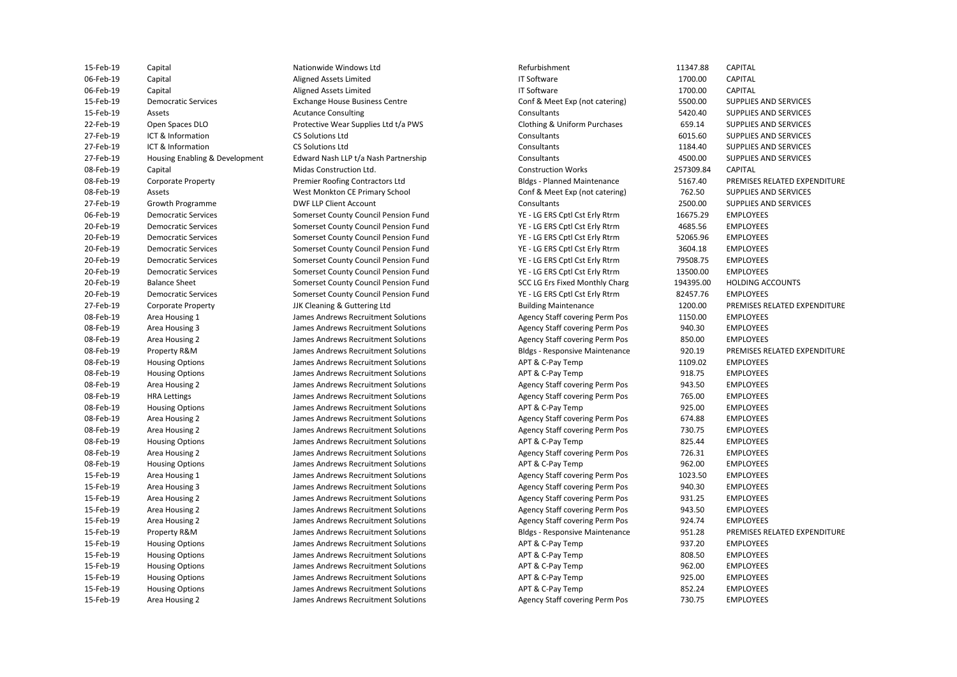| 15-Feb-19 | Capital                        | Nationwide Windows Ltd                | Refurbishment                         | 11347.88  | <b>CAPITAL</b>     |
|-----------|--------------------------------|---------------------------------------|---------------------------------------|-----------|--------------------|
| 06-Feb-19 | Capital                        | Aligned Assets Limited                | <b>IT Software</b>                    | 1700.00   | CAPITAL            |
| 06-Feb-19 | Capital                        | Aligned Assets Limited                | <b>IT Software</b>                    | 1700.00   | <b>CAPITAL</b>     |
| 15-Feb-19 | <b>Democratic Services</b>     | <b>Exchange House Business Centre</b> | Conf & Meet Exp (not catering)        | 5500.00   | <b>SUPPLIES AN</b> |
| 15-Feb-19 | Assets                         | <b>Acutance Consulting</b>            | Consultants                           | 5420.40   | <b>SUPPLIES AN</b> |
| 22-Feb-19 | Open Spaces DLO                | Protective Wear Supplies Ltd t/a PWS  | Clothing & Uniform Purchases          | 659.14    | <b>SUPPLIES AN</b> |
| 27-Feb-19 | ICT & Information              | <b>CS Solutions Ltd</b>               | Consultants                           | 6015.60   | <b>SUPPLIES AN</b> |
| 27-Feb-19 | ICT & Information              | <b>CS Solutions Ltd</b>               | Consultants                           | 1184.40   | <b>SUPPLIES AN</b> |
| 27-Feb-19 | Housing Enabling & Development | Edward Nash LLP t/a Nash Partnership  | Consultants                           | 4500.00   | <b>SUPPLIES AN</b> |
| 08-Feb-19 | Capital                        | Midas Construction Ltd.               | <b>Construction Works</b>             | 257309.84 | <b>CAPITAL</b>     |
| 08-Feb-19 | <b>Corporate Property</b>      | Premier Roofing Contractors Ltd       | <b>Bldgs - Planned Maintenance</b>    | 5167.40   | <b>PREMISES RI</b> |
| 08-Feb-19 | Assets                         | West Monkton CE Primary School        | Conf & Meet Exp (not catering)        | 762.50    | <b>SUPPLIES AN</b> |
| 27-Feb-19 | Growth Programme               | DWF LLP Client Account                | Consultants                           | 2500.00   | <b>SUPPLIES AN</b> |
| 06-Feb-19 | <b>Democratic Services</b>     | Somerset County Council Pension Fund  | YE - LG ERS Cptl Cst Erly Rtrm        | 16675.29  | <b>EMPLOYEES</b>   |
| 20-Feb-19 | <b>Democratic Services</b>     | Somerset County Council Pension Fund  | YE - LG ERS Cptl Cst Erly Rtrm        | 4685.56   | <b>EMPLOYEES</b>   |
| 20-Feb-19 | <b>Democratic Services</b>     | Somerset County Council Pension Fund  | YE - LG ERS Cptl Cst Erly Rtrm        | 52065.96  | <b>EMPLOYEES</b>   |
| 20-Feb-19 | <b>Democratic Services</b>     | Somerset County Council Pension Fund  | YE - LG ERS Cptl Cst Erly Rtrm        | 3604.18   | <b>EMPLOYEES</b>   |
| 20-Feb-19 | <b>Democratic Services</b>     | Somerset County Council Pension Fund  | YE - LG ERS Cptl Cst Erly Rtrm        | 79508.75  | <b>EMPLOYEES</b>   |
| 20-Feb-19 | <b>Democratic Services</b>     | Somerset County Council Pension Fund  | YE - LG ERS Cptl Cst Erly Rtrm        | 13500.00  | <b>EMPLOYEES</b>   |
| 20-Feb-19 | <b>Balance Sheet</b>           | Somerset County Council Pension Fund  | SCC LG Ers Fixed Monthly Charg        | 194395.00 | <b>HOLDING AO</b>  |
| 20-Feb-19 | <b>Democratic Services</b>     | Somerset County Council Pension Fund  | YE - LG ERS Cptl Cst Erly Rtrm        | 82457.76  | <b>EMPLOYEES</b>   |
| 27-Feb-19 | <b>Corporate Property</b>      | JJK Cleaning & Guttering Ltd          | <b>Building Maintenance</b>           | 1200.00   | <b>PREMISES RI</b> |
| 08-Feb-19 | Area Housing 1                 | James Andrews Recruitment Solutions   | Agency Staff covering Perm Pos        | 1150.00   | <b>EMPLOYEES</b>   |
| 08-Feb-19 | Area Housing 3                 | James Andrews Recruitment Solutions   | <b>Agency Staff covering Perm Pos</b> | 940.30    | <b>EMPLOYEES</b>   |
| 08-Feb-19 | Area Housing 2                 | James Andrews Recruitment Solutions   | Agency Staff covering Perm Pos        | 850.00    | <b>EMPLOYEES</b>   |
| 08-Feb-19 | Property R&M                   | James Andrews Recruitment Solutions   | <b>Bldgs - Responsive Maintenance</b> | 920.19    | <b>PREMISES RI</b> |
| 08-Feb-19 | <b>Housing Options</b>         | James Andrews Recruitment Solutions   | APT & C-Pay Temp                      | 1109.02   | <b>EMPLOYEES</b>   |
| 08-Feb-19 | <b>Housing Options</b>         | James Andrews Recruitment Solutions   | APT & C-Pay Temp                      | 918.75    | <b>EMPLOYEES</b>   |
| 08-Feb-19 | Area Housing 2                 | James Andrews Recruitment Solutions   | Agency Staff covering Perm Pos        | 943.50    | <b>EMPLOYEES</b>   |
| 08-Feb-19 | <b>HRA Lettings</b>            | James Andrews Recruitment Solutions   | Agency Staff covering Perm Pos        | 765.00    | <b>EMPLOYEES</b>   |
| 08-Feb-19 | <b>Housing Options</b>         | James Andrews Recruitment Solutions   | APT & C-Pay Temp                      | 925.00    | <b>EMPLOYEES</b>   |
| 08-Feb-19 | Area Housing 2                 | James Andrews Recruitment Solutions   | Agency Staff covering Perm Pos        | 674.88    | <b>EMPLOYEES</b>   |
|           |                                |                                       |                                       |           |                    |
| 08-Feb-19 | Area Housing 2                 | James Andrews Recruitment Solutions   | Agency Staff covering Perm Pos        | 730.75    | <b>EMPLOYEES</b>   |
| 08-Feb-19 | <b>Housing Options</b>         | James Andrews Recruitment Solutions   | APT & C-Pay Temp                      | 825.44    | <b>EMPLOYEES</b>   |
| 08-Feb-19 | Area Housing 2                 | James Andrews Recruitment Solutions   | Agency Staff covering Perm Pos        | 726.31    | <b>EMPLOYEES</b>   |
| 08-Feb-19 | <b>Housing Options</b>         | James Andrews Recruitment Solutions   | APT & C-Pay Temp                      | 962.00    | <b>EMPLOYEES</b>   |
| 15-Feb-19 | Area Housing 1                 | James Andrews Recruitment Solutions   | Agency Staff covering Perm Pos        | 1023.50   | <b>EMPLOYEES</b>   |
| 15-Feb-19 | Area Housing 3                 | James Andrews Recruitment Solutions   | Agency Staff covering Perm Pos        | 940.30    | <b>EMPLOYEES</b>   |
| 15-Feb-19 | Area Housing 2                 | James Andrews Recruitment Solutions   | Agency Staff covering Perm Pos        | 931.25    | <b>EMPLOYEES</b>   |
| 15-Feb-19 | Area Housing 2                 | James Andrews Recruitment Solutions   | Agency Staff covering Perm Pos        | 943.50    | <b>EMPLOYEES</b>   |
| 15-Feb-19 | Area Housing 2                 | James Andrews Recruitment Solutions   | Agency Staff covering Perm Pos        | 924.74    | <b>EMPLOYEES</b>   |
| 15-Feb-19 | Property R&M                   | James Andrews Recruitment Solutions   | <b>Bldgs - Responsive Maintenance</b> | 951.28    | <b>PREMISES RI</b> |
| 15-Feb-19 | <b>Housing Options</b>         | James Andrews Recruitment Solutions   | APT & C-Pay Temp                      | 937.20    | <b>EMPLOYEES</b>   |
| 15-Feb-19 | <b>Housing Options</b>         | James Andrews Recruitment Solutions   | APT & C-Pay Temp                      | 808.50    | <b>EMPLOYEES</b>   |
| 15-Feb-19 | <b>Housing Options</b>         | James Andrews Recruitment Solutions   | APT & C-Pay Temp                      | 962.00    | <b>EMPLOYEES</b>   |
| 15-Feb-19 | <b>Housing Options</b>         | James Andrews Recruitment Solutions   | APT & C-Pay Temp                      | 925.00    | <b>EMPLOYEES</b>   |
| 15-Feb-19 | <b>Housing Options</b>         | James Andrews Recruitment Solutions   | APT & C-Pay Temp                      | 852.24    | <b>EMPLOYEES</b>   |
| 15-Feb-19 | Area Housing 2                 | James Andrews Recruitment Solutions   | Agency Staff covering Perm Pos        | 730.75    | <b>EMPLOYEES</b>   |

 15-Feb-19 Democratic Services Exchange House Business Centre Conf & Meet Exp (not catering) 5500.00 SUPPLIES AND SERVICES Clothing & Uniform Purchases 08-Feb-19 Corporate Property **Premier Roofing Contractors Ltd** Bldgs - Planned Maintenance 5167.40 PREMISES RELATED EXPENDITURE 08-Feb-19 Assets West Monkton CE Primary School Conf & Meet Exp (not catering) 762.50 SUPPLIES AND SERVICES 06-Feb-19 Democratic Services Somerset County Council Pension Fund YE - LG ERS Cptl Cst Erly Rtrm 16675.29 EMPLOYEES 20-Feb-19 Democratic Services Somerset County Council Pension Fund YE - LG ERS Cptl Cst Erly Rtrm 4685.56 EMPLOYEES 20-Feb-19 Democratic Services Somerset County Council Pension Fund YE - LG ERS Cptl Cst Erly Rtrm 52065.96 EMPLOYEES 20-Feb-19 Democratic Services Somerset County Council Pension Fund YE - LG ERS Cptl Cst Erly Rtrm 3604.18 EMPLOYEES 20-Feb-19 Democratic Services Somerset County Council Pension Fund YE - LG ERS Cptl Cst Erly Rtrm 79508.75 EMPLOYEES 20-Feb-19 Democratic Services Somerset County Council Pension Fund YE - LG ERS Cptl Cst Erly Rtrm 13500.00 EMPLOYEES 20-Feb-19 Balance Sheet Sheet Somerset County Council Pension Fund SCC LG Ers Fixed Monthly Charg 194395.00 HOLDING ACCOUNTS 20-Feb-19 Democratic Services Somerset County Council Pension Fund YE - LG ERS Cptl Cst Erly Rtrm 82457.76 EMPLOYEES 08-Feb-19 Area Housing 1 The State of James Andrews Recruitment Solutions The Agency Staff covering Perm Pos 21150.00 EMPLOYEES 08-Feb-19 Area Housing 3 Sames Andrews Recruitment Solutions Agency Staff covering Perm Pos 30 BMPLOYEES 08-Feb-19 Property R&M James Andrews Recruitment Solutions Bldgs - Responsive Maintenance 920.19 PREMISES RELATED EXPENDITURE 08-Feb-19 Housing Options James Andrews Recruitment Solutions APT & C-Pay Temp 1109.02 EMPLOYEES 08-Feb-19 Housing Options James Andrews Recruitment Solutions APT & C-Pay Temp 918.75 EMPLOYEES 08-Feb-19 Area Housing 2 States and the Summer Solutions Agency Staff covering Perm Pos 343.50 EMPLOYEES 08-Feb-19 HRA Lettings James Andrews Recruitment Solutions Agency Staff covering Perm Pos 765.00 EMPLOYEES 08-Feb-19 Housing Options James Andrews Recruitment Solutions APT & C-Pay Temp 925.00 EMPLOYEES 08-Feb-19 Area Housing 2 States and the Summer Solutions Agency Staff covering Perm Pos 674.88 EMPLOYEES 08-Feb-19 Area Housing 2 States and the Summer Solutions Agency Staff covering Perm Pos 30.75 EMPLOYEES 08-Feb-19 Housing Options James Andrews Recruitment Solutions APT & C-Pay Temp 825.44 EMPLOYEES 08-Feb-19 Area Housing 2 States and the Summer Solutions Agency Staff covering Perm Pos 726.31 EMPLOYEES 08-Feb-19 Housing Options James Andrews Recruitment Solutions APT & C-Pay Temp 962.00 EMPLOYEES 15-Feb-19 Area Housing 1 1 1 James Andrews Recruitment Solutions Agency Staff covering Perm Pos 1023.50 EMPLOYEES 15-Feb-19 Area Housing 3 Sames Andrews Recruitment Solutions Agency Staff covering Perm Pos 340.30 EMPLOYEES 15-Feb-19 Area Housing 2 States and the Summer Solutions Agency Staff covering Perm Pos 31.25 EMPLOYEES 15-Feb-19 Area Housing 2 States and the Summer Solutions Agency Staff covering Perm Pos 343.50 EMPLOYEES 15-Feb-19 Area Housing 2 States and the Summer Solutions Agency Staff covering Perm Pos 324.74 EMPLOYEES 15-Feb-19 Property R&M James Andrews Recruitment Solutions Bldgs - Responsive Maintenance 951.28 PREMISES RELATED EXPENDITURE 15-Feb-19 Housing Options **State State Constructs Andrews Recruitment Solutions** APT & C-Pay Temp 937.20 EMPLOYEES 15-Feb-19 Housing Options **Same State Constructs Andrews Recruitment Solutions** APT & C-Pay Temp 808.50 EMPLOYEES 15-Feb-19 Housing Options James Andrews Recruitment Solutions APT & C-Pay Temp 962.00 EMPLOYEES 15-Feb-19 Housing Options **State Community Community Community** James Andrews Recruitment Solutions APT & C-Pay Temp 925.00 EMPLOYEES 15-Feb-19 Housing Options James Andrews Recruitment Solutions APT & C-Pay Temp 852.24 EMPLOYEES 15-Feb-19 Capital Nationwide Windows Ltd Refurbishment 11347.88 CAPITAL 06-Feb-19 Capital Aligned Assets Limited IT Software 1700.00 CAPITAL 06-Feb-19 Capital Aligned Assets Limited IT Software 1700.00 CAPITAL 15-Feb-19 Assets Acutance Consulting Consultants 5420.40 SUPPLIES AND SERVICES Protective Wear Supplies Ltd t/a PWS **Clothing & Uniform Purchases** 659.14 SUPPLIES AND SERVICES 27-Feb-19 ICT & Information CS Solutions Ltd Consultants 6015.60 SUPPLIES AND SERVICES 27-Feb-19 ICT & Information CS Solutions Ltd Consultants 1184.40 SUPPLIES AND SERVICES 27-Febrew 27-Febrew 2012 and Development Edward Nash LLP t/a Nash Partnership Consultants 4500.00 SUPPLIES AND SERVICES 08-Feb-19 Capital Midas Construction Ltd. Construction Works 257309.84 CAPITAL 27-Feb-19 Growth Programme DWF LLP Client Account Consultants 2500.00 SUPPLIES AND SERVICES Building Maintenance **National Cleaning Cleaning Corporate Building Maintenance** 1200.00 PREMISES RELATED EXPENDITURE Agency Staff covering Perm Pos 850.00 EMPLOYEES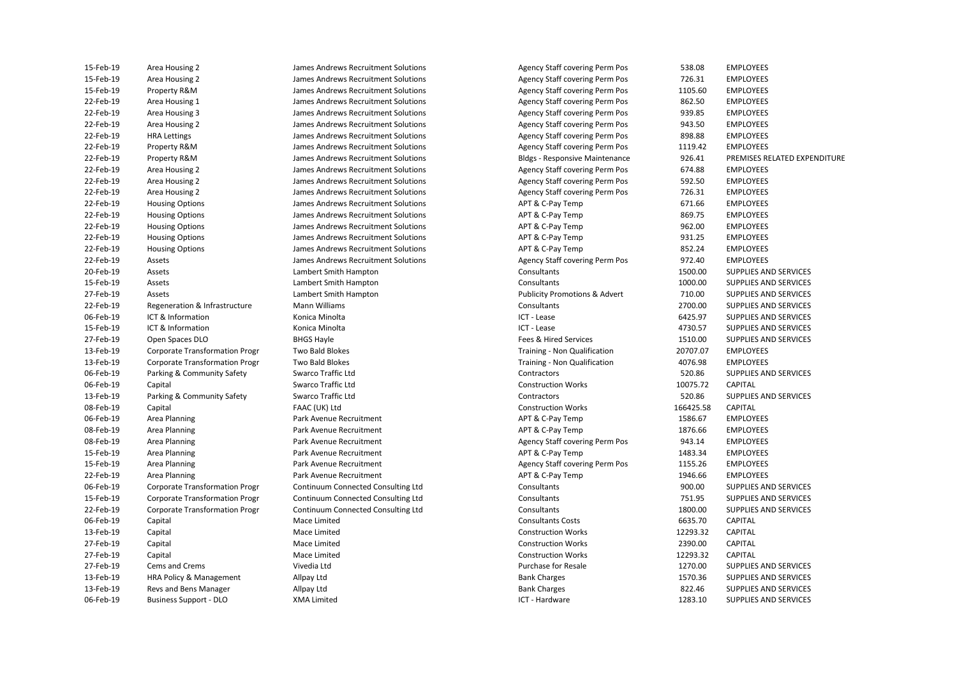| 15-Feb-19              | Area Housing 2                        | James Andrews Recruitment Solutions | Agency Staff covering Perm Pos                     | 538.08    | <b>EMPLOYEES</b>                     |
|------------------------|---------------------------------------|-------------------------------------|----------------------------------------------------|-----------|--------------------------------------|
| 15-Feb-19              | Area Housing 2                        | James Andrews Recruitment Solutions | Agency Staff covering Perm Pos                     | 726.31    | <b>EMPLOYEES</b>                     |
| 15-Feb-19              | Property R&M                          | James Andrews Recruitment Solutions | Agency Staff covering Perm Pos                     | 1105.60   | <b>EMPLOYEES</b>                     |
| 22-Feb-19              | Area Housing 1                        | James Andrews Recruitment Solutions | Agency Staff covering Perm Pos                     | 862.50    | <b>EMPLOYEES</b>                     |
| 22-Feb-19              | Area Housing 3                        | James Andrews Recruitment Solutions | <b>Agency Staff covering Perm Pos</b>              | 939.85    | <b>EMPLOYEES</b>                     |
| 22-Feb-19              | Area Housing 2                        | James Andrews Recruitment Solutions | Agency Staff covering Perm Pos                     | 943.50    | <b>EMPLOYEES</b>                     |
| 22-Feb-19              | <b>HRA Lettings</b>                   | James Andrews Recruitment Solutions | Agency Staff covering Perm Pos                     | 898.88    | <b>EMPLOYEES</b>                     |
| 22-Feb-19              | Property R&M                          | James Andrews Recruitment Solutions | <b>Agency Staff covering Perm Pos</b>              | 1119.42   | <b>EMPLOYEES</b>                     |
| 22-Feb-19              | Property R&M                          | James Andrews Recruitment Solutions | <b>Bldgs - Responsive Maintenance</b>              | 926.41    | <b>PREMISES RI</b>                   |
| 22-Feb-19              | Area Housing 2                        | James Andrews Recruitment Solutions | Agency Staff covering Perm Pos                     | 674.88    | <b>EMPLOYEES</b>                     |
| 22-Feb-19              | Area Housing 2                        | James Andrews Recruitment Solutions | <b>Agency Staff covering Perm Pos</b>              | 592.50    | <b>EMPLOYEES</b>                     |
| 22-Feb-19              | Area Housing 2                        | James Andrews Recruitment Solutions | Agency Staff covering Perm Pos                     | 726.31    | <b>EMPLOYEES</b>                     |
| 22-Feb-19              | <b>Housing Options</b>                | James Andrews Recruitment Solutions | APT & C-Pay Temp                                   | 671.66    | <b>EMPLOYEES</b>                     |
| 22-Feb-19              | <b>Housing Options</b>                | James Andrews Recruitment Solutions | APT & C-Pay Temp                                   | 869.75    | <b>EMPLOYEES</b>                     |
| 22-Feb-19              | <b>Housing Options</b>                | James Andrews Recruitment Solutions | APT & C-Pay Temp                                   | 962.00    | <b>EMPLOYEES</b>                     |
| 22-Feb-19              | <b>Housing Options</b>                | James Andrews Recruitment Solutions | APT & C-Pay Temp                                   | 931.25    | <b>EMPLOYEES</b>                     |
| 22-Feb-19              | <b>Housing Options</b>                | James Andrews Recruitment Solutions | APT & C-Pay Temp                                   | 852.24    | <b>EMPLOYEES</b>                     |
| 22-Feb-19              | Assets                                | James Andrews Recruitment Solutions | Agency Staff covering Perm Pos                     | 972.40    | <b>EMPLOYEES</b>                     |
| 20-Feb-19              | Assets                                | Lambert Smith Hampton               | Consultants                                        | 1500.00   | <b>SUPPLIES AN</b>                   |
| 15-Feb-19              | Assets                                | Lambert Smith Hampton               | Consultants                                        | 1000.00   | <b>SUPPLIES AN</b>                   |
| 27-Feb-19              | Assets                                | Lambert Smith Hampton               | <b>Publicity Promotions &amp; Advert</b>           | 710.00    | <b>SUPPLIES AN</b>                   |
| 22-Feb-19              | Regeneration & Infrastructure         | Mann Williams                       | Consultants                                        | 2700.00   | <b>SUPPLIES AN</b>                   |
| 06-Feb-19              | ICT & Information                     | Konica Minolta                      | ICT - Lease                                        | 6425.97   | <b>SUPPLIES AN</b>                   |
| 15-Feb-19              | ICT & Information                     | Konica Minolta                      | ICT - Lease                                        | 4730.57   | <b>SUPPLIES AN</b>                   |
| 27-Feb-19              | Open Spaces DLO                       | <b>BHGS Hayle</b>                   | Fees & Hired Services                              | 1510.00   | <b>SUPPLIES AN</b>                   |
| 13-Feb-19              | <b>Corporate Transformation Progr</b> | <b>Two Bald Blokes</b>              | Training - Non Qualification                       | 20707.07  | <b>EMPLOYEES</b>                     |
| 13-Feb-19              | <b>Corporate Transformation Progr</b> | <b>Two Bald Blokes</b>              | Training - Non Qualification                       | 4076.98   | <b>EMPLOYEES</b>                     |
| 06-Feb-19              | Parking & Community Safety            | Swarco Traffic Ltd                  | Contractors                                        | 520.86    | <b>SUPPLIES AN</b>                   |
| 06-Feb-19              | Capital                               | Swarco Traffic Ltd                  | <b>Construction Works</b>                          | 10075.72  | CAPITAL                              |
| 13-Feb-19              | Parking & Community Safety            | Swarco Traffic Ltd                  | Contractors                                        | 520.86    | <b>SUPPLIES AN</b>                   |
| 08-Feb-19              | Capital                               | FAAC (UK) Ltd                       | <b>Construction Works</b>                          | 166425.58 | <b>CAPITAL</b>                       |
| 06-Feb-19              | Area Planning                         | Park Avenue Recruitment             | APT & C-Pay Temp                                   | 1586.67   | <b>EMPLOYEES</b>                     |
| 08-Feb-19              |                                       | Park Avenue Recruitment             | APT & C-Pay Temp                                   | 1876.66   | <b>EMPLOYEES</b>                     |
| 08-Feb-19              | Area Planning                         |                                     |                                                    |           |                                      |
|                        | Area Planning                         | Park Avenue Recruitment             | Agency Staff covering Perm Pos<br>APT & C-Pay Temp | 943.14    | <b>EMPLOYEES</b>                     |
| 15-Feb-19<br>15-Feb-19 | Area Planning                         | Park Avenue Recruitment             |                                                    | 1483.34   | <b>EMPLOYEES</b><br><b>EMPLOYEES</b> |
| 22-Feb-19              | Area Planning                         | Park Avenue Recruitment             | Agency Staff covering Perm Pos                     | 1155.26   | <b>EMPLOYEES</b>                     |
|                        | Area Planning                         | Park Avenue Recruitment             | APT & C-Pay Temp                                   | 1946.66   |                                      |
| 06-Feb-19              | <b>Corporate Transformation Progr</b> | Continuum Connected Consulting Ltd  | Consultants                                        | 900.00    | <b>SUPPLIES AN</b>                   |
| 15-Feb-19              | <b>Corporate Transformation Progr</b> | Continuum Connected Consulting Ltd  | Consultants                                        | 751.95    | <b>SUPPLIES AN</b>                   |
| 22-Feb-19              | <b>Corporate Transformation Progr</b> | Continuum Connected Consulting Ltd  | Consultants                                        | 1800.00   | <b>SUPPLIES AN</b>                   |
| 06-Feb-19              | Capital                               | Mace Limited                        | <b>Consultants Costs</b>                           | 6635.70   | CAPITAL                              |
| 13-Feb-19              | Capital                               | Mace Limited                        | <b>Construction Works</b>                          | 12293.32  | CAPITAL                              |
| 27-Feb-19              | Capital                               | Mace Limited                        | <b>Construction Works</b>                          | 2390.00   | <b>CAPITAL</b>                       |
| 27-Feb-19              | Capital                               | Mace Limited                        | <b>Construction Works</b>                          | 12293.32  | <b>CAPITAL</b>                       |
| 27-Feb-19              | Cems and Crems                        | Vivedia Ltd                         | <b>Purchase for Resale</b>                         | 1270.00   | <b>SUPPLIES AN</b>                   |
| 13-Feb-19              | HRA Policy & Management               | Allpay Ltd                          | <b>Bank Charges</b>                                | 1570.36   | <b>SUPPLIES AN</b>                   |
| 13-Feb-19              | Revs and Bens Manager                 | Allpay Ltd                          | <b>Bank Charges</b>                                | 822.46    | <b>SUPPLIES AN</b>                   |
| $06-Feh-19$            | Business Sunnort - DIO                | hetimil AMX                         | <b>ICT - Hardware</b>                              | 1283 10   | SUPPLIES AN                          |

15-Feb-19 Area Housing 2 **State 3 James Andrews Recruitment Solutions** Agency Staff covering Perm Pos 726.31 EMPLOYEES 15-Feb-19 Property R&M James Andrews Recruitment Solutions Agency Staff covering Perm Pos 1105.60 EMPLOYEES 22-Feb-19 Area Housing 1 The State of Mercuitment Solutions Carea Agency Staff covering Perm Pos 862.50 EMPLOYEES 22-Feb-19 Area Housing 3 Sames Andrews Recruitment Solutions Agency Staff covering Perm Pos 399.85 EMPLOYEES 22-Feb-19 Area Housing 2 **James Andrews Recruitment Solutions** Agency Staff covering Perm Pos 943.50 EMPLOYEES 22-Feb-19 HRA Lettings James Andrews Recruitment Solutions Agency Staff covering Perm Pos 898.88 EMPLOYEES 22-Feb-19 Property R&M James Andrews Recruitment Solutions Agency Staff covering Perm Pos 1119.42 EMPLOYEES 22-Feb-19 Property R&M James Andrews Recruitment Solutions Bldgs - Responsive Maintenance 926.41 PREMISES RELATED EXPENDITURE 22-Feb-19 Area Housing 2 **James Andrews Recruitment Solutions** Agency Staff covering Perm Pos 674.88 EMPLOYEES 22-Feb-19 Area Housing 2 **Matter States Andrews Recruitment Solutions** Agency Staff covering Perm Pos 592.50 EMPLOYEES 22-Feb-19 Area Housing 2 **James Andrews Recruitment Solutions** Agency Staff covering Perm Pos 726.31 EMPLOYEES 22-Feb-19 Housing Options James Andrews Recruitment Solutions APT & C-Pay Temp 671.66 EMPLOYEES 22-Feb-19 Housing Options James Andrews Recruitment Solutions APT & C-Pay Temp 869.75 EMPLOYEES 22-Feb-19 Housing Options **State State Constructs Andrews Recruitment Solutions** APT & C-Pay Temp 962.00 EMPLOYEES 22-Feb-19 Housing Options James Andrews Recruitment Solutions APT & C-Pay Temp 931.25 EMPLOYEES 22-Feb-19 Housing Options James Andrews Recruitment Solutions APT & C-Pay Temp 852.24 EMPLOYEES 22-Feb-19 Assets James Andrews Recruitment Solutions Agency Staff covering Perm Pos 972.40 EMPLOYEES 27-Feb-19 Assets Lambert Smith Hampton Publicity Promotions & Advert 710.00 SUPPLIES AND SERVICES ICT - Lease  $IT - L$ 13-Feb-19 Corporate Transformation Progr Two Bald Blokes Training - Non Qualification 20707.07 EMPLOYEES 13-Feb-19 Corporate Transformation Progr Two Bald Blokes Training - Non Qualification 4076.98 EMPLOYEES APT & C-Pay Temp APT & C-Pay Temp 08-Feb-19 Area Planning **Park Avenue Recruitment** Agency Staff covering Perm Pos 943.14 EMPLOYEES APT & C-Pay Temp 15-Feb-19 Area Planning **Park Avenue Recruitment** Agency Staff covering Perm Pos 1155.26 EMPLOYEES APT & C-Pay Temp 20-Feb-19 Assets Lambert Smith Hampton Consultants 1500.00 SUPPLIES AND SERVICES 15-Feb-19 Assets Lambert Smith Hampton Consultants 1000.00 SUPPLIES AND SERVICES 22-Feb-19 Regeneration & Infrastructure Mann Williams Consultants 2700.00 SUPPLIES AND SERVICES 06-Feb-19 ICT & Information Konica Minolta ICT - Lease 6425.97 SUPPLIES AND SERVICES 15-Feb-19 ICT & Information **ICT & Information** Konica Minolta **ICT - Lease** ICT - Lease 4730.57 SUPPLIES AND SERVICES 27-Feb-19 Open Spaces DLO BHGS Hayle Fees & Hired Services 1510.00 SUPPLIES AND SERVICES 06-Feb-19 Parking & Community Safety Swarco Traffic Ltd Structure Structure of Contractors 520.86 SUPPLIES AND SERVICES 06-Feb-19 Capital Swarco Traffic Ltd Construction Works 10075.72 CAPITAL 13-Feb-19 Parking & Community Safety Swarco Traffic Ltd Superintent Contractors Contractors 520.86 SUPPLIES AND SERVICES 08-Feb-19 Capital FAAC (UK) Ltd Construction Works 166425.58 CAPITAL Park Avenue Recruitment Theorem 2006 Area Planning APT & C-Pay Temp 1586.67 EMPLOYEES 08-Feb-19 Area Planning **Park Avenue Recruitment** APT & C-Pay Temp 1876.66 EMPLOYEES Park Avenue Recruitment Theory Area Planning Park Avenue Recruitment APT & C-Pay Temp 1483.34 EMPLOYEES 22-Feb-19 Area Planning **Park Avenue Recruitment** APT & C-Pay Temp 1946.66 EMPLOYEES Continuum Connected Consulting Ltd **Consultants** Consultants **Consultants** 900.00 SUPPLIES AND SERVICES 15-Feb-19 Corporate Transformation Progr Continuum Connected Consulting Ltd Consultants 751.95 SUPPLIES AND SERVICES 22-Feb-19 Corporate Transformation Progr Continuum Connected Consulting Ltd Consultants 1800.00 SUPPLIES AND SERVICES 06-Feb-19 Capital Capital Consultants Costs Consultants Costs 6635.70 CAPITAL 13-Feb-19 Capital Capital Construction Mace Limited Construction Works 212293.32 CAPITAL 27-Feb-19 Capital Mace Limited Construction Works 2390.00 CAPITAL 27-Feb-19 Capital Capital Mace Limited Construction Works Construction Works 2293.32 CAPITAL 27-Feb-19 Cems and Crems Vivedia Ltd Purchase for Resale 1270.00 SUPPLIES AND SERVICES 13-Feb-19 HRA Policy & Management Allpay Ltd Bank Charges 1570.36 SUPPLIES AND SERVICES 13-Feb-19 Revs and Bens Manager Allpay Ltd Bank Charges 822.46 SUPPLIES AND SERVICES 06-Feb-19 Business Support - DLO XMA Limited ICT - Hardware 1283.10 SUPPLIES AND SERVICES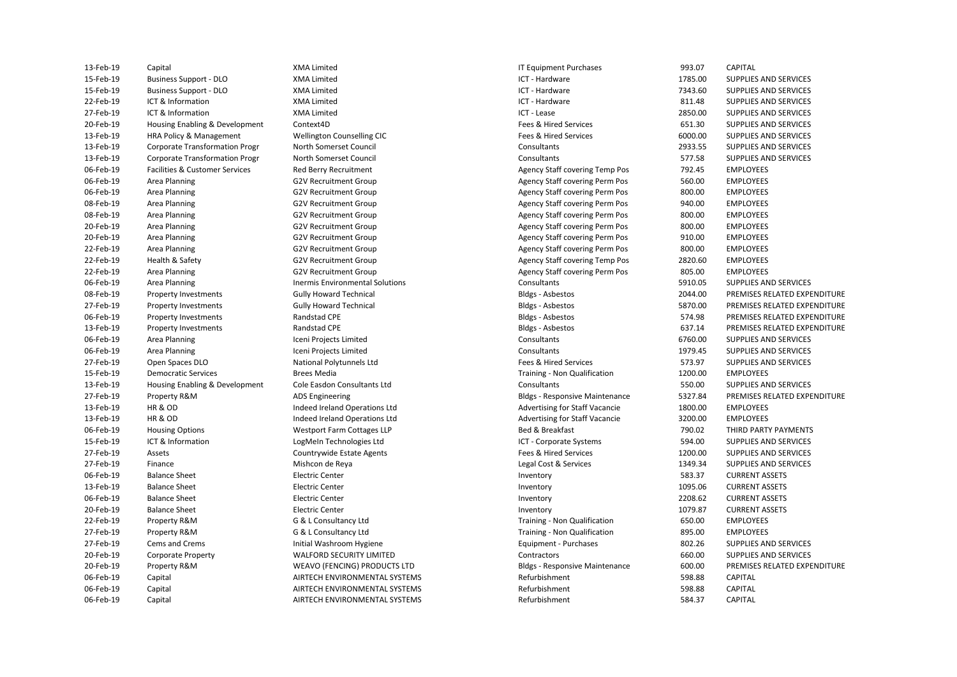| 13-Feb-19 | Capital                               | <b>XMA Limited</b>              | <b>IT Equipment Purchases</b>         | 993.07  | <b>CAPITAL</b>               |
|-----------|---------------------------------------|---------------------------------|---------------------------------------|---------|------------------------------|
| 15-Feb-19 | <b>Business Support - DLO</b>         | <b>XMA Limited</b>              | ICT - Hardware                        | 1785.00 | SUPPLIES AND SERVICES        |
| 15-Feb-19 | <b>Business Support - DLO</b>         | <b>XMA Limited</b>              | ICT - Hardware                        | 7343.60 | SUPPLIES AND SERVICES        |
| 22-Feb-19 | ICT & Information                     | <b>XMA Limited</b>              | ICT - Hardware                        | 811.48  | SUPPLIES AND SERVICES        |
| 27-Feb-19 | ICT & Information                     | <b>XMA Limited</b>              | ICT - Lease                           | 2850.00 | SUPPLIES AND SERVICES        |
| 20-Feb-19 | Housing Enabling & Development        | Context4D                       | Fees & Hired Services                 | 651.30  | SUPPLIES AND SERVICES        |
| 13-Feb-19 | HRA Policy & Management               | Wellington Counselling CIC      | Fees & Hired Services                 | 6000.00 | SUPPLIES AND SERVICES        |
| 13-Feb-19 | <b>Corporate Transformation Progr</b> | North Somerset Council          | Consultants                           | 2933.55 | SUPPLIES AND SERVICES        |
| 13-Feb-19 | <b>Corporate Transformation Progr</b> | North Somerset Council          | Consultants                           | 577.58  | SUPPLIES AND SERVICES        |
| 06-Feb-19 | Facilities & Customer Services        | Red Berry Recruitment           | <b>Agency Staff covering Temp Pos</b> | 792.45  | <b>EMPLOYEES</b>             |
| 06-Feb-19 | Area Planning                         | G2V Recruitment Group           | Agency Staff covering Perm Pos        | 560.00  | <b>EMPLOYEES</b>             |
| 06-Feb-19 | Area Planning                         | <b>G2V Recruitment Group</b>    | Agency Staff covering Perm Pos        | 800.00  | <b>EMPLOYEES</b>             |
| 08-Feb-19 | Area Planning                         | <b>G2V Recruitment Group</b>    | <b>Agency Staff covering Perm Pos</b> | 940.00  | <b>EMPLOYEES</b>             |
| 08-Feb-19 | Area Planning                         | <b>G2V Recruitment Group</b>    | Agency Staff covering Perm Pos        | 800.00  | <b>EMPLOYEES</b>             |
| 20-Feb-19 | Area Planning                         | <b>G2V Recruitment Group</b>    | <b>Agency Staff covering Perm Pos</b> | 800.00  | <b>EMPLOYEES</b>             |
| 20-Feb-19 | Area Planning                         | <b>G2V Recruitment Group</b>    | Agency Staff covering Perm Pos        | 910.00  | <b>EMPLOYEES</b>             |
| 22-Feb-19 | Area Planning                         | <b>G2V Recruitment Group</b>    | Agency Staff covering Perm Pos        | 800.00  | <b>EMPLOYEES</b>             |
| 22-Feb-19 | Health & Safety                       | <b>G2V Recruitment Group</b>    | <b>Agency Staff covering Temp Pos</b> | 2820.60 | <b>EMPLOYEES</b>             |
| 22-Feb-19 | Area Planning                         | <b>G2V Recruitment Group</b>    | Agency Staff covering Perm Pos        | 805.00  | <b>EMPLOYEES</b>             |
| 06-Feb-19 | Area Planning                         | Inermis Environmental Solutions | Consultants                           | 5910.05 | SUPPLIES AND SERVICES        |
| 08-Feb-19 | Property Investments                  | <b>Gully Howard Technical</b>   | Bldgs - Asbestos                      | 2044.00 | PREMISES RELATED EXPENDITURE |
| 27-Feb-19 | Property Investments                  | <b>Gully Howard Technical</b>   | Bldgs - Asbestos                      | 5870.00 | PREMISES RELATED EXPENDITURE |
| 06-Feb-19 | Property Investments                  | Randstad CPE                    | Bldgs - Asbestos                      | 574.98  | PREMISES RELATED EXPENDITURE |
| 13-Feb-19 | Property Investments                  | Randstad CPE                    | Bldgs - Asbestos                      | 637.14  | PREMISES RELATED EXPENDITURE |
| 06-Feb-19 | Area Planning                         | Iceni Projects Limited          | Consultants                           | 6760.00 | SUPPLIES AND SERVICES        |
| 06-Feb-19 | Area Planning                         | Iceni Projects Limited          | Consultants                           | 1979.45 | SUPPLIES AND SERVICES        |
| 27-Feb-19 | Open Spaces DLO                       | National Polytunnels Ltd        | Fees & Hired Services                 | 573.97  | SUPPLIES AND SERVICES        |
| 15-Feb-19 | <b>Democratic Services</b>            | <b>Brees Media</b>              | Training - Non Qualification          | 1200.00 | <b>EMPLOYEES</b>             |
| 13-Feb-19 | Housing Enabling & Development        | Cole Easdon Consultants Ltd     | Consultants                           | 550.00  | SUPPLIES AND SERVICES        |
| 27-Feb-19 | Property R&M                          | <b>ADS Engineering</b>          | <b>Bldgs - Responsive Maintenance</b> | 5327.84 | PREMISES RELATED EXPENDITURE |
| 13-Feb-19 | HR&OD                                 | Indeed Ireland Operations Ltd   | Advertising for Staff Vacancie        | 1800.00 | <b>EMPLOYEES</b>             |
| 13-Feb-19 | <b>HR &amp; OD</b>                    | Indeed Ireland Operations Ltd   | Advertising for Staff Vacancie        | 3200.00 | <b>EMPLOYEES</b>             |
| 06-Feb-19 | <b>Housing Options</b>                | Westport Farm Cottages LLP      | Bed & Breakfast                       | 790.02  | THIRD PARTY PAYMENTS         |
| 15-Feb-19 | ICT & Information                     | LogMeIn Technologies Ltd        | ICT - Corporate Systems               | 594.00  | SUPPLIES AND SERVICES        |
| 27-Feb-19 | Assets                                | Countrywide Estate Agents       | Fees & Hired Services                 | 1200.00 | SUPPLIES AND SERVICES        |
| 27-Feb-19 | Finance                               | Mishcon de Reya                 | Legal Cost & Services                 | 1349.34 | SUPPLIES AND SERVICES        |
| 06-Feb-19 | <b>Balance Sheet</b>                  | <b>Electric Center</b>          | Inventory                             | 583.37  | <b>CURRENT ASSETS</b>        |
| 13-Feb-19 | <b>Balance Sheet</b>                  | <b>Electric Center</b>          | Inventory                             | 1095.06 | <b>CURRENT ASSETS</b>        |
| 06-Feb-19 | <b>Balance Sheet</b>                  | <b>Electric Center</b>          | Inventory                             | 2208.62 | <b>CURRENT ASSETS</b>        |
| 20-Feb-19 | <b>Balance Sheet</b>                  | <b>Electric Center</b>          | Inventory                             | 1079.87 | <b>CURRENT ASSETS</b>        |
| 22-Feb-19 | Property R&M                          | G & L Consultancy Ltd           | Training - Non Qualification          | 650.00  | <b>EMPLOYEES</b>             |
| 27-Feb-19 | Property R&M                          | G & L Consultancy Ltd           | Training - Non Qualification          | 895.00  | <b>EMPLOYEES</b>             |
| 27-Feb-19 | Cems and Crems                        | Initial Washroom Hygiene        | Equipment - Purchases                 | 802.26  | SUPPLIES AND SERVICES        |
| 20-Feb-19 | <b>Corporate Property</b>             | <b>WALFORD SECURITY LIMITED</b> | Contractors                           | 660.00  | SUPPLIES AND SERVICES        |
| 20-Feb-19 | Property R&M                          | WEAVO (FENCING) PRODUCTS LTD    | <b>Bldgs - Responsive Maintenance</b> | 600.00  | PREMISES RELATED EXPENDITURE |
| 06-Feb-19 | Capital                               | AIRTECH ENVIRONMENTAL SYSTEMS   | Refurbishment                         | 598.88  | <b>CAPITAL</b>               |
| 06-Feb-19 | Capital                               | AIRTECH ENVIRONMENTAL SYSTEMS   | Refurbishment                         | 598.88  | CAPITAL                      |
| 06-Feb-19 | Capital                               | AIRTECH ENVIRONMENTAL SYSTEMS   | Refurbishment                         | 584.37  | <b>CAPITAL</b>               |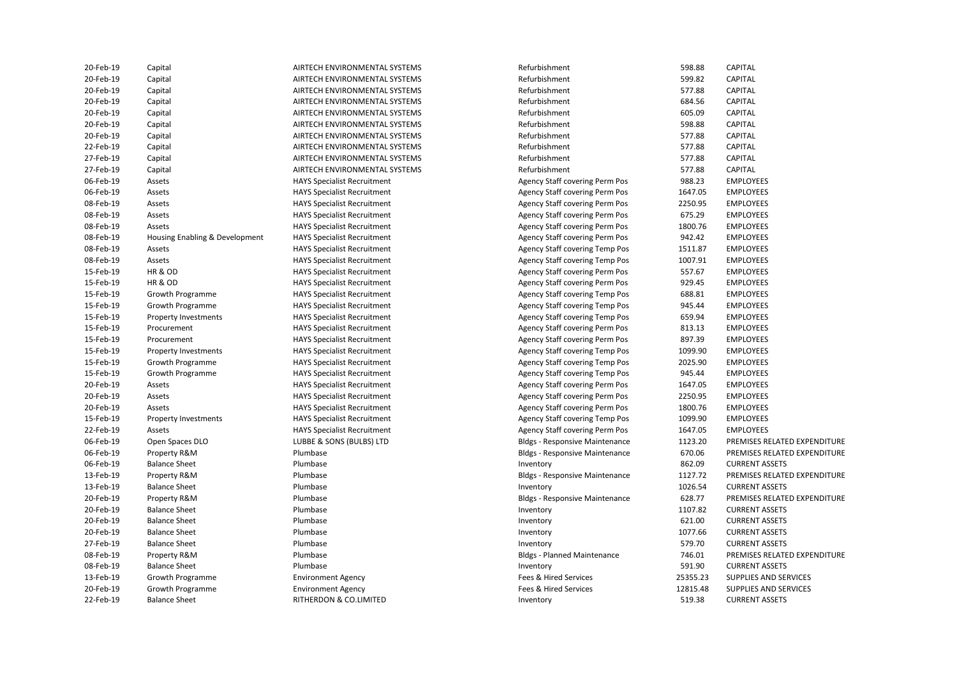| Capital                        | AIRTECH ENVIRONMENTAL SYSTEMS      | Refurbishment                         | 598.88   | <b>CAPITAL</b>               |
|--------------------------------|------------------------------------|---------------------------------------|----------|------------------------------|
| Capital                        | AIRTECH ENVIRONMENTAL SYSTEMS      | Refurbishment                         | 599.82   | CAPITAL                      |
| Capital                        | AIRTECH ENVIRONMENTAL SYSTEMS      | Refurbishment                         | 577.88   | <b>CAPITAL</b>               |
| Capital                        | AIRTECH ENVIRONMENTAL SYSTEMS      | Refurbishment                         | 684.56   | CAPITAL                      |
|                                | AIRTECH ENVIRONMENTAL SYSTEMS      | Refurbishment                         | 605.09   | <b>CAPITAL</b>               |
| Capital                        | AIRTECH ENVIRONMENTAL SYSTEMS      | Refurbishment                         | 598.88   | CAPITAL                      |
|                                | AIRTECH ENVIRONMENTAL SYSTEMS      | Refurbishment                         | 577.88   | <b>CAPITAL</b>               |
| Capital                        | AIRTECH ENVIRONMENTAL SYSTEMS      | Refurbishment                         | 577.88   | <b>CAPITAL</b>               |
| Capital                        | AIRTECH ENVIRONMENTAL SYSTEMS      | Refurbishment                         | 577.88   | CAPITAL                      |
| Capital                        | AIRTECH ENVIRONMENTAL SYSTEMS      | Refurbishment                         | 577.88   | CAPITAL                      |
| Assets                         | <b>HAYS Specialist Recruitment</b> | Agency Staff covering Perm Pos        | 988.23   | <b>EMPLOYEES</b>             |
| Assets                         | <b>HAYS Specialist Recruitment</b> | Agency Staff covering Perm Pos        | 1647.05  | <b>EMPLOYEES</b>             |
| Assets                         | <b>HAYS Specialist Recruitment</b> | Agency Staff covering Perm Pos        | 2250.95  | <b>EMPLOYEES</b>             |
| Assets                         | <b>HAYS Specialist Recruitment</b> | Agency Staff covering Perm Pos        | 675.29   | <b>EMPLOYEES</b>             |
| Assets                         | <b>HAYS Specialist Recruitment</b> | Agency Staff covering Perm Pos        | 1800.76  | <b>EMPLOYEES</b>             |
| Housing Enabling & Development | <b>HAYS Specialist Recruitment</b> | Agency Staff covering Perm Pos        | 942.42   | <b>EMPLOYEES</b>             |
| Assets                         | <b>HAYS Specialist Recruitment</b> | <b>Agency Staff covering Temp Pos</b> | 1511.87  | <b>EMPLOYEES</b>             |
| Assets                         | <b>HAYS Specialist Recruitment</b> | Agency Staff covering Temp Pos        | 1007.91  | <b>EMPLOYEES</b>             |
| HR & OD                        | <b>HAYS Specialist Recruitment</b> | Agency Staff covering Perm Pos        | 557.67   | <b>EMPLOYEES</b>             |
| HR & OD                        | <b>HAYS Specialist Recruitment</b> | Agency Staff covering Perm Pos        | 929.45   | <b>EMPLOYEES</b>             |
| Growth Programme               | <b>HAYS Specialist Recruitment</b> | Agency Staff covering Temp Pos        | 688.81   | <b>EMPLOYEES</b>             |
| Growth Programme               | <b>HAYS Specialist Recruitment</b> | Agency Staff covering Temp Pos        | 945.44   | <b>EMPLOYEES</b>             |
| <b>Property Investments</b>    | <b>HAYS Specialist Recruitment</b> | Agency Staff covering Temp Pos        | 659.94   | <b>EMPLOYEES</b>             |
| Procurement                    | <b>HAYS Specialist Recruitment</b> | Agency Staff covering Perm Pos        | 813.13   | <b>EMPLOYEES</b>             |
| Procurement                    | <b>HAYS Specialist Recruitment</b> | Agency Staff covering Perm Pos        | 897.39   | <b>EMPLOYEES</b>             |
| Property Investments           | <b>HAYS Specialist Recruitment</b> | <b>Agency Staff covering Temp Pos</b> | 1099.90  | <b>EMPLOYEES</b>             |
| Growth Programme               | <b>HAYS Specialist Recruitment</b> | <b>Agency Staff covering Temp Pos</b> | 2025.90  | <b>EMPLOYEES</b>             |
| Growth Programme               | <b>HAYS Specialist Recruitment</b> | Agency Staff covering Temp Pos        | 945.44   | <b>EMPLOYEES</b>             |
| Assets                         | <b>HAYS Specialist Recruitment</b> | Agency Staff covering Perm Pos        | 1647.05  | <b>EMPLOYEES</b>             |
| Assets                         | <b>HAYS Specialist Recruitment</b> | Agency Staff covering Perm Pos        | 2250.95  | <b>EMPLOYEES</b>             |
| Assets                         | <b>HAYS Specialist Recruitment</b> | Agency Staff covering Perm Pos        | 1800.76  | <b>EMPLOYEES</b>             |
| <b>Property Investments</b>    | <b>HAYS Specialist Recruitment</b> | Agency Staff covering Temp Pos        | 1099.90  | <b>EMPLOYEES</b>             |
| Assets                         | <b>HAYS Specialist Recruitment</b> | Agency Staff covering Perm Pos        | 1647.05  | <b>EMPLOYEES</b>             |
| Open Spaces DLO                | LUBBE & SONS (BULBS) LTD           | <b>Bldgs - Responsive Maintenance</b> | 1123.20  | PREMISES RELATED EXPENDITURE |
| Property R&M                   | Plumbase                           | <b>Bldgs - Responsive Maintenance</b> | 670.06   | PREMISES RELATED EXPENDITURE |
| <b>Balance Sheet</b>           | Plumbase                           | Inventory                             | 862.09   | <b>CURRENT ASSETS</b>        |
| Property R&M                   | Plumbase                           | <b>Bldgs - Responsive Maintenance</b> | 1127.72  | PREMISES RELATED EXPENDITURE |
| <b>Balance Sheet</b>           | Plumbase                           | Inventory                             | 1026.54  | <b>CURRENT ASSETS</b>        |
| Property R&M                   | Plumbase                           | <b>Bldgs - Responsive Maintenance</b> | 628.77   | PREMISES RELATED EXPENDITURE |
| <b>Balance Sheet</b>           | Plumbase                           | Inventory                             | 1107.82  | <b>CURRENT ASSETS</b>        |
| <b>Balance Sheet</b>           | Plumbase                           | Inventory                             | 621.00   | <b>CURRENT ASSETS</b>        |
| <b>Balance Sheet</b>           | Plumbase                           | Inventory                             | 1077.66  | <b>CURRENT ASSETS</b>        |
| <b>Balance Sheet</b>           | Plumbase                           | Inventory                             | 579.70   | <b>CURRENT ASSETS</b>        |
| Property R&M                   | Plumbase                           | <b>Bldgs - Planned Maintenance</b>    | 746.01   | PREMISES RELATED EXPENDITURE |
| <b>Balance Sheet</b>           | Plumbase                           | Inventory                             | 591.90   | <b>CURRENT ASSETS</b>        |
| Growth Programme               | <b>Environment Agency</b>          | Fees & Hired Services                 | 25355.23 | SUPPLIES AND SERVICES        |
| Growth Programme               | <b>Environment Agency</b>          | Fees & Hired Services                 | 12815.48 | SUPPLIES AND SERVICES        |
| <b>Balance Sheet</b>           | RITHERDON & CO.LIMITED             | Inventory                             | 519.38   | <b>CURRENT ASSETS</b>        |
|                                | Capital<br>Capital                 |                                       |          |                              |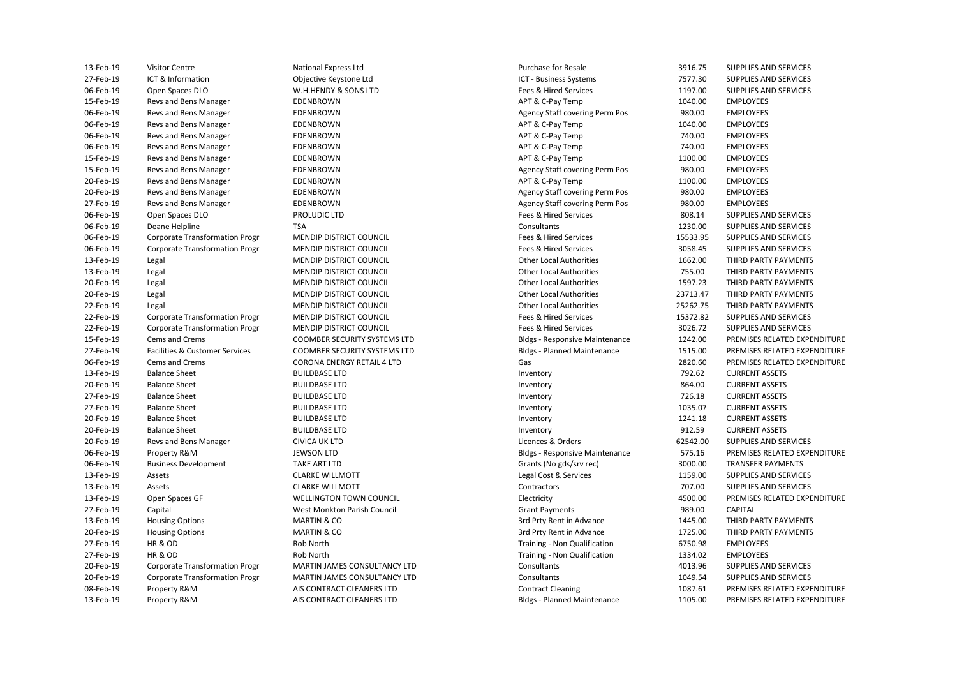| 13-Feb-19   | <b>Visitor Centre</b>                     |
|-------------|-------------------------------------------|
| 27-Feb-19   | ICT & Information                         |
| 06-Feb-19   | Open Spaces DLO                           |
| 15-Feb-19   | Revs and Bens Manager                     |
| 06-Feb-19   | Revs and Bens Manager                     |
| 06-Feb-19   | Revs and Bens Manager                     |
| 06-Feb-19   | Revs and Bens Manager                     |
| 06-Feb-19   | Revs and Bens Manager                     |
| 15-Feb-19   | Revs and Bens Manager                     |
| 15-Feb-19   | Revs and Bens Manager                     |
| 20-Feb-19   | Revs and Bens Manager                     |
| 20-Feb-19   | Revs and Bens Manager                     |
| 27-Feb-19   | Revs and Bens Manager                     |
| 06-Feb-19   | Open Spaces DLO                           |
| 06-Feb-19   | Deane Helpline                            |
| 06-Feb-19   | <b>Corporate Transformation Progr</b>     |
| 06-Feb-19   | <b>Corporate Transformation Progr</b>     |
| 13-Feb-19   | Legal                                     |
| 13-Feb-19   | Legal                                     |
| 20-Feb-19   | Legal                                     |
| 20-Feb-19   | Legal                                     |
| 22-Feb-19   | Legal                                     |
| 22-Feb-19   | Corporate Transformation Progr            |
| 22-Feb-19   | <b>Corporate Transformation Progr</b>     |
| 15-Feb-19   | Cems and Crems                            |
| 27-Feb-19   | <b>Facilities &amp; Customer Services</b> |
| 06-Feb-19   | <b>Cems and Crems</b>                     |
| 13-Feb-19   | <b>Balance Sheet</b>                      |
| 20-Feb-19   | <b>Balance Sheet</b>                      |
| 27-Feb-19   | <b>Balance Sheet</b>                      |
| 27-Feb-19   | <b>Balance Sheet</b>                      |
| 20-Feb-19   | <b>Balance Sheet</b>                      |
| 20-Feb-19   | <b>Balance Sheet</b>                      |
| 20-Feb-19   | Revs and Bens Manager                     |
| 06-Feb-19   | Property R&M                              |
| 06-Feb-19   | <b>Business Development</b>               |
| 13-Feb-19   | Assets                                    |
| 13-Feb-19   | Assets                                    |
| 13-Feb-19   | Open Spaces GF                            |
| 27-Feb-19   | Capital                                   |
| 13-Feb-19   | <b>Housing Options</b>                    |
| 20-Feb-19   | <b>Housing Options</b>                    |
| 27-Feb-19   | HR & OD                                   |
| 27-Feb-19   | HR & OD                                   |
| 20-Feb-19   | Corporate Transformation Progr            |
| 20-Feb-19   | <b>Corporate Transformation Progr</b>     |
| 08-Feb-19   | Property R&M                              |
| $13-Feh-19$ | Pronerty R&M                              |

National Express Ltd Objective Keystone Ltd MENDIP DISTRICT COUNCIL MENDIP DISTRICT COUNCIL **MENDIP DISTRICT COUNCIL** MENDIP DISTRICT COUNCIL MENDIP DISTRICT COUNCIL **MENDIP DISTRICT COUNCIL** MENDIP DISTRICT COUNCIL MENDIP DISTRICT COUNCIL COOMBER SECURITY SYSTEMS LTD CORONA ENFRGY RETAIL 4 LTD **TAKE ART LTD** WELLINGTON TOWN COUNCIL AIS CONTRACT CLEANERS LTD

AIS CONTRACT CLEANERS LTD

20-Feb-19 Legal Legal MENDIP DISTRICT COUNCIL COUNCIL Other Local Authorities 23713.47 THIRD PARTY PAYMENTS 27-Feb-19 Facilities & Customer Services COOMBER SECURITY SYSTEMS LTD Bldgs - Planned Maintenance 1515.00 PREMISES RELATED EXPENDITURE **Bldgs - Responsive Maintenance**  27-Feb-19 HR & OD Rob North Training - Non Qualification 6750.98 EMPLOYEES 27-Feb-19 HR & OD Rob North Training - Non Qualification 1334.02 EMPLOYEES 13-Feb-19 Visitor Centre National Express Ltd Chronic Center According Purchase for Resale 3916.75 SUPPLIES AND SERVICES 27-Feb-19 ICT & Information Objective Keystone Ltd ICT - Business Systems 7577.30 SUPPLIES AND SERVICES 06-Feb-19 Open Spaces DLO W.H.HENDY & SONS LTD Fees & Hired Services 1197.00 SUPPLIES AND SERVICES 15-Feb-19 Revs and Bens Manager **EDENBROWN** EDENBROWN APT & C-Pay Temp 1040.00 EMPLOYEES EDENBROWN **EDENBROWN EDENBROWN EDENBROWN EMPLOYEES BENS MANAGER Agency Staff covering Perm Pos** 980.00 **EMPLOYEES** 06-Feb-19 Revs and Bens Manager **EDENBROWN** EDENBROWN APT & C-Pay Temp 1040.00 EMPLOYEES 06-Feb-19 Revs and Bens Manager EDENBROWN APT & C-Pay Temp 740.00 EMPLOYEES 06-Feb-19 Revs and Bens Manager EDENBROWN APT & C-Pay Temp 740.00 EMPLOYEES 15-Feb-19 Revs and Bens Manager **EDENBROWN** EDENBROWN APT & C-Pay Temp 1100.00 EMPLOYEES 15-Feb-19 Revs and Bens Manager EDENBROWN Agency Staff covering Perm Pos 980.00 EMPLOYEES 20-Feb-19 Revs and Bens Manager **EDENBROWN** EDENBROWN APT & C-Pay Temp 1100.00 EMPLOYEES 20-Feb-19 Revs and Bens Manager EDENBROWN Agency Staff covering Perm Pos 980.00 EMPLOYEES 27-Feb-19 Revs and Bens Manager EDENBROWN Agency Staff covering Perm Pos 980.00 EMPLOYEES 06-Feb-19 Open Spaces DLO PROLUDIC LTD PROLUDIC LTD Fees & Hired Services and Supplies AND SERVICES 06-Feb-19 Deane Helpline **TSA** TEAN TEAN Consultants Consultants 2000 SUPPLIES AND SERVICES 06-Feb-19 Corporate Transformation Progr MENDIP DISTRICT COUNCIL THE SERVICES Fees & Hired Services 15533.95 SUPPLIES AND SERVICES 06-Feb-19 Corporate Transformation Progr MENDIP DISTRICT COUNCIL THE SERVICES Fees & Hired Services 3058.45 SUPPLIES AND SERVICES 13-Feb-19 Legal Legal MENDIP DISTRICT COUNCIL COUNCIL Other Local Authorities 1662.00 THIRD PARTY PAYMENTS 13-Feb-19 Legal MENDIP DISTRICT COUNCIL Other Local Authorities 755.00 THIRD PARTY PAYMENTS 20-Feb-19 Legal Legal MENDIP DISTRICT COUNCIL COUNCIL Other Local Authorities 1597.23 THIRD PARTY PAYMENTS 22-Feb-19 Legal Legal MENDIP DISTRICT COUNCIL COUNCIL Other Local Authorities 25262.75 THIRD PARTY PAYMENTS 22-Feb-19 Corporate Transformation Progr MENDIP DISTRICT COUNCIL THE SERVICES Fees & Hired Services 15372.82 SUPPLIES AND SERVICES 22-Feb-19 Corporate Transformation Progr MENDIP DISTRICT COUNCIL THE SERVICES Fees & Hired Services 3026.72 SUPPLIES AND SERVICES Bldgs - Responsive Maintenance 1242.00 PREMISES RELATED EXPENDITURE 06-Feb-19 Cems and Crems CORONA ENERGY RETAIL 4 LTD Gas 2820.60 PREMISES RELATED EXPENDITURE 13-Feb-19 Balance Sheet BUILDBASE LTD Inventory 792.62 CURRENT ASSETS 20-Feb-19 Balance Sheet BUILDBASE LTD Inventory 864.00 CURRENT ASSETS 27-Feb-19 Balance Sheet BUILDBASE LTD Inventory 726.18 CURRENT ASSETS 27-Feb-19 Balance Sheet BUILDBASE LTD Inventory 1035.07 CURRENT ASSETS 20-Feb-19 Balance Sheet BUILDBASE LTD Inventory 1241.18 CURRENT ASSETS 20-Feb-19 Balance Sheet BUILDBASE LTD Inventory 912.59 CURRENT ASSETS 20-Feb-19 Revs and Bens Manager CIVICA UK LTD Licences & Orders 62542.00 SUPPLIES AND SERVICES 06-Feb-19 Property R&M JEWSON LTD Bldgs - Responsive Maintenance 575.16 PREMISES RELATED EXPENDITURE 06-Feb-19 Business Development TAKE ART LTD TAKE ART LTD Some Constrained Business Development TAKE ART LTD Some Constrained Business Development TAKE ART LTD Some Constrained Business Arrangement of the Some Constrained B 13-Feb-19 Assets CLARKE WILLMOTT Legal Cost & Services 1159.00 SUPPLIES AND SERVICES 13-Feb-19 Assets CLARKE WILLMOTT Contractors 707.00 SUPPLIES AND SERVICES 13-Feb-19 Open Spaces GF WELLINGTON TOWN COUNCIL Electricity 4500.00 PREMISES RELATED EXPENDITURE 27-Feb-19 Capital West Monkton Parish Council Grant Payments 989.00 CAPITAL 13-Feb-19 Housing Options NARTIN & CO 3rd Prty Rent in Advance 3rd Prty Rent in Advance 2014 1445.00 THIRD PARTY PAYMENTS MARTIN & CO **2008 THIRD PARTY PAYMENTS** 3rd Prty Rent in Advance 3rd Prty Rent in Advance 1725.00 THIRD PARTY PAYMENTS 20-Feb-19 Corporate Transformation Progr MARTIN JAMES CONSULTANCY LTD Consultants 4013.96 SUPPLIES AND SERVICES 20-Feb-19 Corporate Transformation Progr MARTIN JAMES CONSULTANCY LTD Consultants 1049.54 SUPPLIES AND SERVICES Contract Cleaning Transact Cleaning 2087.61 PREMISES RELATED EXPENDITURE RIdgs - Planned Maintenance 2008 1105.00 PREMISES RELATED EXPENDITURE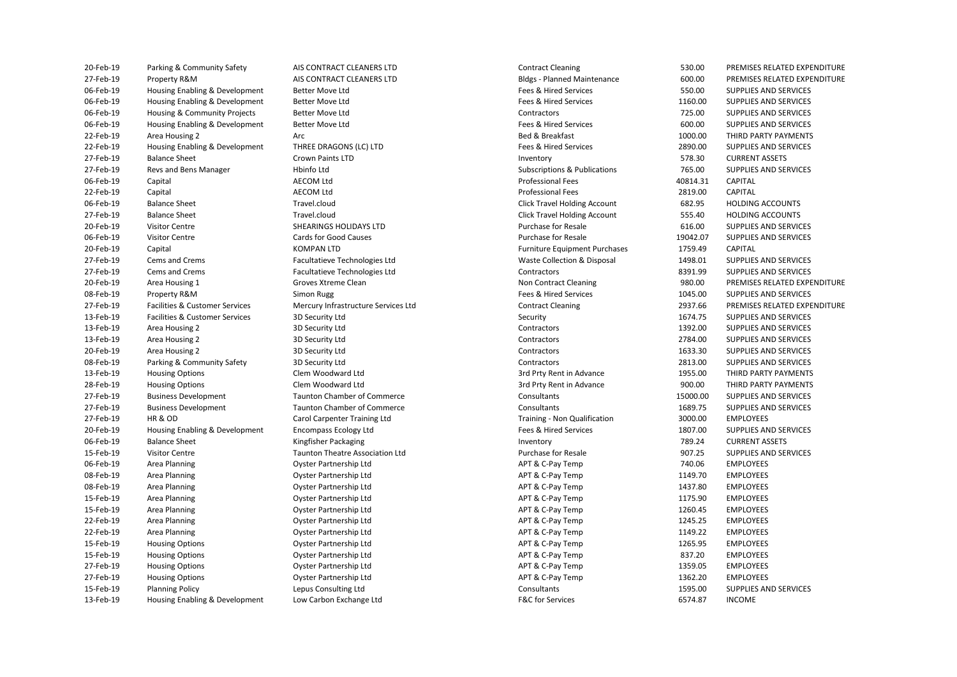| <b>SO-LGD-TA</b> | Parking & Community Salety     | AIS CONTRACT CLEANERS LTD              | Contract Cleaning                    | <b>330.00</b> | PREIVIISES RELATED EXPENDITURE |
|------------------|--------------------------------|----------------------------------------|--------------------------------------|---------------|--------------------------------|
| 27-Feb-19        | Property R&M                   | AIS CONTRACT CLEANERS LTD              | <b>Bldgs - Planned Maintenance</b>   | 600.00        | PREMISES RELATED EXPENDITURE   |
| 06-Feb-19        | Housing Enabling & Development | Better Move Ltd                        | Fees & Hired Services                | 550.00        | SUPPLIES AND SERVICES          |
| 06-Feb-19        | Housing Enabling & Development | <b>Better Move Ltd</b>                 | Fees & Hired Services                | 1160.00       | SUPPLIES AND SERVICES          |
| 06-Feb-19        | Housing & Community Projects   | <b>Better Move Ltd</b>                 | Contractors                          | 725.00        | SUPPLIES AND SERVICES          |
| 06-Feb-19        | Housing Enabling & Development | Better Move Ltd                        | Fees & Hired Services                | 600.00        | SUPPLIES AND SERVICES          |
| 22-Feb-19        | Area Housing 2                 | Arc                                    | Bed & Breakfast                      | 1000.00       | THIRD PARTY PAYMENTS           |
| 22-Feb-19        | Housing Enabling & Development | THREE DRAGONS (LC) LTD                 | Fees & Hired Services                | 2890.00       | SUPPLIES AND SERVICES          |
| 27-Feb-19        | <b>Balance Sheet</b>           | <b>Crown Paints LTD</b>                | Inventory                            | 578.30        | <b>CURRENT ASSETS</b>          |
| 27-Feb-19        | Revs and Bens Manager          | Hbinfo Ltd                             | Subscriptions & Publications         | 765.00        | SUPPLIES AND SERVICES          |
| 06-Feb-19        | Capital                        | <b>AECOM Ltd</b>                       | <b>Professional Fees</b>             | 40814.31      | <b>CAPITAL</b>                 |
| 22-Feb-19        | Capital                        | <b>AECOM Ltd</b>                       | <b>Professional Fees</b>             | 2819.00       | CAPITAL                        |
| 06-Feb-19        | <b>Balance Sheet</b>           | Travel.cloud                           | <b>Click Travel Holding Account</b>  | 682.95        | <b>HOLDING ACCOUNTS</b>        |
| 27-Feb-19        | <b>Balance Sheet</b>           | Travel.cloud                           | <b>Click Travel Holding Account</b>  | 555.40        | <b>HOLDING ACCOUNTS</b>        |
| 20-Feb-19        | <b>Visitor Centre</b>          | SHEARINGS HOLIDAYS LTD                 | <b>Purchase for Resale</b>           | 616.00        | SUPPLIES AND SERVICES          |
| 06-Feb-19        | <b>Visitor Centre</b>          | Cards for Good Causes                  | Purchase for Resale                  | 19042.07      | SUPPLIES AND SERVICES          |
| 20-Feb-19        | Capital                        | <b>KOMPAN LTD</b>                      | <b>Furniture Equipment Purchases</b> | 1759.49       | <b>CAPITAL</b>                 |
| 27-Feb-19        | Cems and Crems                 | Facultatieve Technologies Ltd          | Waste Collection & Disposal          | 1498.01       | SUPPLIES AND SERVICES          |
| 27-Feb-19        | <b>Cems and Crems</b>          |                                        | Contractors                          | 8391.99       | SUPPLIES AND SERVICES          |
|                  |                                | Facultatieve Technologies Ltd          |                                      |               |                                |
| 20-Feb-19        | Area Housing 1                 | Groves Xtreme Clean                    | Non Contract Cleaning                | 980.00        | PREMISES RELATED EXPENDITURE   |
| 08-Feb-19        | Property R&M                   | <b>Simon Rugg</b>                      | Fees & Hired Services                | 1045.00       | SUPPLIES AND SERVICES          |
| 27-Feb-19        | Facilities & Customer Services | Mercury Infrastructure Services Ltd    | <b>Contract Cleaning</b>             | 2937.66       | PREMISES RELATED EXPENDITURE   |
| 13-Feb-19        | Facilities & Customer Services | 3D Security Ltd                        | Security                             | 1674.75       | SUPPLIES AND SERVICES          |
| 13-Feb-19        | Area Housing 2                 | 3D Security Ltd                        | Contractors                          | 1392.00       | SUPPLIES AND SERVICES          |
| 13-Feb-19        | Area Housing 2                 | 3D Security Ltd                        | Contractors                          | 2784.00       | SUPPLIES AND SERVICES          |
| 20-Feb-19        | Area Housing 2                 | 3D Security Ltd                        | Contractors                          | 1633.30       | SUPPLIES AND SERVICES          |
| 08-Feb-19        | Parking & Community Safety     | 3D Security Ltd                        | Contractors                          | 2813.00       | SUPPLIES AND SERVICES          |
| 13-Feb-19        | <b>Housing Options</b>         | Clem Woodward Ltd                      | 3rd Prty Rent in Advance             | 1955.00       | THIRD PARTY PAYMENTS           |
| 28-Feb-19        | <b>Housing Options</b>         | Clem Woodward Ltd                      | 3rd Prty Rent in Advance             | 900.00        | THIRD PARTY PAYMENTS           |
| 27-Feb-19        | <b>Business Development</b>    | <b>Taunton Chamber of Commerce</b>     | Consultants                          | 15000.00      | SUPPLIES AND SERVICES          |
| 27-Feb-19        | <b>Business Development</b>    | <b>Taunton Chamber of Commerce</b>     | Consultants                          | 1689.75       | SUPPLIES AND SERVICES          |
| 27-Feb-19        | HR & OD                        | Carol Carpenter Training Ltd           | Training - Non Qualification         | 3000.00       | <b>EMPLOYEES</b>               |
| 20-Feb-19        | Housing Enabling & Development | <b>Encompass Ecology Ltd</b>           | Fees & Hired Services                | 1807.00       | SUPPLIES AND SERVICES          |
| 06-Feb-19        | <b>Balance Sheet</b>           | Kingfisher Packaging                   | Inventory                            | 789.24        | <b>CURRENT ASSETS</b>          |
| 15-Feb-19        | <b>Visitor Centre</b>          | <b>Taunton Theatre Association Ltd</b> | Purchase for Resale                  | 907.25        | SUPPLIES AND SERVICES          |
| 06-Feb-19        | Area Planning                  | Oyster Partnership Ltd                 | APT & C-Pay Temp                     | 740.06        | <b>EMPLOYEES</b>               |
| 08-Feb-19        | Area Planning                  | <b>Oyster Partnership Ltd</b>          | APT & C-Pay Temp                     | 1149.70       | <b>EMPLOYEES</b>               |
| 08-Feb-19        | Area Planning                  | Oyster Partnership Ltd                 | APT & C-Pay Temp                     | 1437.80       | <b>EMPLOYEES</b>               |
| 15-Feb-19        | Area Planning                  | <b>Oyster Partnership Ltd</b>          | APT & C-Pay Temp                     | 1175.90       | <b>EMPLOYEES</b>               |
| 15-Feb-19        | Area Planning                  | Oyster Partnership Ltd                 | APT & C-Pay Temp                     | 1260.45       | <b>EMPLOYEES</b>               |
| 22-Feb-19        | Area Planning                  | Oyster Partnership Ltd                 | APT & C-Pay Temp                     | 1245.25       | <b>EMPLOYEES</b>               |
| 22-Feb-19        | Area Planning                  | <b>Oyster Partnership Ltd</b>          | APT & C-Pay Temp                     | 1149.22       | <b>EMPLOYEES</b>               |
| 15-Feb-19        | <b>Housing Options</b>         | Oyster Partnership Ltd                 | APT & C-Pay Temp                     | 1265.95       | <b>EMPLOYEES</b>               |
| 15-Feb-19        | <b>Housing Options</b>         | Oyster Partnership Ltd                 | APT & C-Pay Temp                     | 837.20        | <b>EMPLOYEES</b>               |
| 27-Feb-19        | <b>Housing Options</b>         | Oyster Partnership Ltd                 | APT & C-Pay Temp                     | 1359.05       | <b>EMPLOYEES</b>               |
| 27-Feb-19        | <b>Housing Options</b>         | Oyster Partnership Ltd                 | APT & C-Pay Temp                     | 1362.20       | <b>EMPLOYEES</b>               |
| 15-Feb-19        | <b>Planning Policy</b>         | Lepus Consulting Ltd                   | Consultants                          | 1595.00       | SUPPLIES AND SERVICES          |
| 13-Feb-19        | Housing Enabling & Development | Low Carbon Exchange Ltd                | <b>F&amp;C for Services</b>          | 6574.87       | <b>INCOME</b>                  |
|                  |                                |                                        |                                      |               |                                |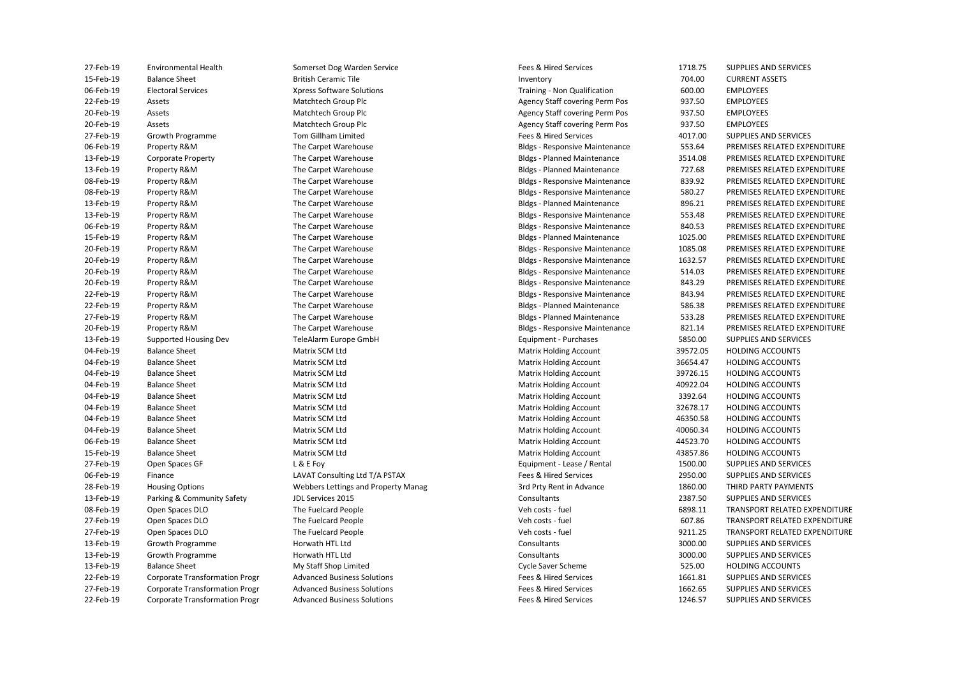| 27-Feb-19 | <b>Environmental Health</b>           | Somerset Dog Warden Service                | Fees & Hired Services                 | 1718.75  | SUPPLIES AND SERVICES         |
|-----------|---------------------------------------|--------------------------------------------|---------------------------------------|----------|-------------------------------|
| 15-Feb-19 | <b>Balance Sheet</b>                  | <b>British Ceramic Tile</b>                | Inventory                             | 704.00   | <b>CURRENT ASSETS</b>         |
| 06-Feb-19 | <b>Electoral Services</b>             | <b>Xpress Software Solutions</b>           | Training - Non Qualification          | 600.00   | <b>EMPLOYEES</b>              |
| 22-Feb-19 | Assets                                | Matchtech Group Plc                        | Agency Staff covering Perm Pos        | 937.50   | <b>EMPLOYEES</b>              |
| 20-Feb-19 | Assets                                | Matchtech Group Plc                        | <b>Agency Staff covering Perm Pos</b> | 937.50   | <b>EMPLOYEES</b>              |
| 20-Feb-19 | Assets                                | Matchtech Group Plc                        | Agency Staff covering Perm Pos        | 937.50   | <b>EMPLOYEES</b>              |
| 27-Feb-19 | Growth Programme                      | Tom Gillham Limited                        | Fees & Hired Services                 | 4017.00  | SUPPLIES AND SERVICES         |
| 06-Feb-19 | Property R&M                          | The Carpet Warehouse                       | <b>Bldgs - Responsive Maintenance</b> | 553.64   | PREMISES RELATED EXPENDITURE  |
| 13-Feb-19 | <b>Corporate Property</b>             | The Carpet Warehouse                       | <b>Bldgs - Planned Maintenance</b>    | 3514.08  | PREMISES RELATED EXPENDITURE  |
| 13-Feb-19 | Property R&M                          | The Carpet Warehouse                       | <b>Bldgs - Planned Maintenance</b>    | 727.68   | PREMISES RELATED EXPENDITURE  |
| 08-Feb-19 | Property R&M                          | The Carpet Warehouse                       | <b>Bldgs - Responsive Maintenance</b> | 839.92   | PREMISES RELATED EXPENDITURE  |
| 08-Feb-19 | Property R&M                          | The Carpet Warehouse                       | <b>Bldgs - Responsive Maintenance</b> | 580.27   | PREMISES RELATED EXPENDITURE  |
| 13-Feb-19 | Property R&M                          | The Carpet Warehouse                       | <b>Bldgs - Planned Maintenance</b>    | 896.21   | PREMISES RELATED EXPENDITURE  |
| 13-Feb-19 | Property R&M                          | The Carpet Warehouse                       | <b>Bldgs - Responsive Maintenance</b> | 553.48   | PREMISES RELATED EXPENDITURE  |
| 06-Feb-19 | Property R&M                          | The Carpet Warehouse                       | <b>Bldgs - Responsive Maintenance</b> | 840.53   | PREMISES RELATED EXPENDITURE  |
| 15-Feb-19 | Property R&M                          | The Carpet Warehouse                       | <b>Bldgs - Planned Maintenance</b>    | 1025.00  | PREMISES RELATED EXPENDITURE  |
| 20-Feb-19 | Property R&M                          | The Carpet Warehouse                       | <b>Bldgs - Responsive Maintenance</b> | 1085.08  | PREMISES RELATED EXPENDITURE  |
| 20-Feb-19 | Property R&M                          | The Carpet Warehouse                       | <b>Bldgs - Responsive Maintenance</b> | 1632.57  | PREMISES RELATED EXPENDITURE  |
| 20-Feb-19 | Property R&M                          | The Carpet Warehouse                       | <b>Bldgs - Responsive Maintenance</b> | 514.03   | PREMISES RELATED EXPENDITURE  |
| 20-Feb-19 | Property R&M                          | The Carpet Warehouse                       | <b>Bldgs - Responsive Maintenance</b> | 843.29   | PREMISES RELATED EXPENDITURE  |
| 22-Feb-19 | Property R&M                          | The Carpet Warehouse                       | <b>Bldgs - Responsive Maintenance</b> | 843.94   | PREMISES RELATED EXPENDITURE  |
| 22-Feb-19 | Property R&M                          | The Carpet Warehouse                       | <b>Bldgs - Planned Maintenance</b>    | 586.38   | PREMISES RELATED EXPENDITURE  |
| 27-Feb-19 | Property R&M                          | The Carpet Warehouse                       | <b>Bldgs - Planned Maintenance</b>    | 533.28   | PREMISES RELATED EXPENDITURE  |
| 20-Feb-19 | Property R&M                          | The Carpet Warehouse                       | <b>Bldgs - Responsive Maintenance</b> | 821.14   | PREMISES RELATED EXPENDITURE  |
| 13-Feb-19 | Supported Housing Dev                 | TeleAlarm Europe GmbH                      | Equipment - Purchases                 | 5850.00  | SUPPLIES AND SERVICES         |
| 04-Feb-19 | <b>Balance Sheet</b>                  | Matrix SCM Ltd                             | <b>Matrix Holding Account</b>         | 39572.05 | <b>HOLDING ACCOUNTS</b>       |
| 04-Feb-19 | <b>Balance Sheet</b>                  | Matrix SCM Ltd                             | <b>Matrix Holding Account</b>         | 36654.47 | <b>HOLDING ACCOUNTS</b>       |
| 04-Feb-19 | <b>Balance Sheet</b>                  | Matrix SCM Ltd                             | Matrix Holding Account                | 39726.15 | <b>HOLDING ACCOUNTS</b>       |
| 04-Feb-19 | <b>Balance Sheet</b>                  | Matrix SCM Ltd                             | <b>Matrix Holding Account</b>         | 40922.04 | <b>HOLDING ACCOUNTS</b>       |
| 04-Feb-19 | <b>Balance Sheet</b>                  | Matrix SCM Ltd                             | <b>Matrix Holding Account</b>         | 3392.64  | <b>HOLDING ACCOUNTS</b>       |
| 04-Feb-19 | <b>Balance Sheet</b>                  | Matrix SCM Ltd                             | <b>Matrix Holding Account</b>         | 32678.17 | <b>HOLDING ACCOUNTS</b>       |
| 04-Feb-19 | <b>Balance Sheet</b>                  | Matrix SCM Ltd                             | <b>Matrix Holding Account</b>         | 46350.58 | <b>HOLDING ACCOUNTS</b>       |
| 04-Feb-19 | <b>Balance Sheet</b>                  | Matrix SCM Ltd                             | <b>Matrix Holding Account</b>         | 40060.34 | <b>HOLDING ACCOUNTS</b>       |
| 06-Feb-19 | <b>Balance Sheet</b>                  | Matrix SCM Ltd                             | <b>Matrix Holding Account</b>         | 44523.70 | <b>HOLDING ACCOUNTS</b>       |
| 15-Feb-19 | <b>Balance Sheet</b>                  | Matrix SCM Ltd                             | Matrix Holding Account                | 43857.86 | <b>HOLDING ACCOUNTS</b>       |
| 27-Feb-19 | Open Spaces GF                        | L & E Foy                                  | Equipment - Lease / Rental            | 1500.00  | SUPPLIES AND SERVICES         |
| 06-Feb-19 | Finance                               | LAVAT Consulting Ltd T/A PSTAX             | Fees & Hired Services                 | 2950.00  | SUPPLIES AND SERVICES         |
| 28-Feb-19 | <b>Housing Options</b>                | <b>Webbers Lettings and Property Manag</b> | 3rd Prty Rent in Advance              | 1860.00  | THIRD PARTY PAYMENTS          |
| 13-Feb-19 | Parking & Community Safety            | JDL Services 2015                          | Consultants                           | 2387.50  | SUPPLIES AND SERVICES         |
| 08-Feb-19 | Open Spaces DLO                       | The Fuelcard People                        | Veh costs - fuel                      | 6898.11  | TRANSPORT RELATED EXPENDITURE |
| 27-Feb-19 | Open Spaces DLO                       | The Fuelcard People                        | Veh costs - fuel                      | 607.86   | TRANSPORT RELATED EXPENDITURE |
| 27-Feb-19 | Open Spaces DLO                       | The Fuelcard People                        | Veh costs - fuel                      | 9211.25  | TRANSPORT RELATED EXPENDITURE |
| 13-Feb-19 | Growth Programme                      | Horwath HTL Ltd                            | Consultants                           | 3000.00  | SUPPLIES AND SERVICES         |
| 13-Feb-19 | Growth Programme                      | Horwath HTL Ltd                            | Consultants                           | 3000.00  | SUPPLIES AND SERVICES         |
| 13-Feb-19 | <b>Balance Sheet</b>                  | My Staff Shop Limited                      | Cycle Saver Scheme                    | 525.00   | <b>HOLDING ACCOUNTS</b>       |
| 22-Feb-19 | <b>Corporate Transformation Progr</b> | <b>Advanced Business Solutions</b>         | Fees & Hired Services                 | 1661.81  | SUPPLIES AND SERVICES         |
| 27-Feb-19 | <b>Corporate Transformation Progr</b> | <b>Advanced Business Solutions</b>         | Fees & Hired Services                 | 1662.65  | SUPPLIES AND SERVICES         |
| 22-Feb-19 | <b>Corporate Transformation Progr</b> | <b>Advanced Business Solutions</b>         | Fees & Hired Services                 | 1246.57  | SUPPLIES AND SERVICES         |